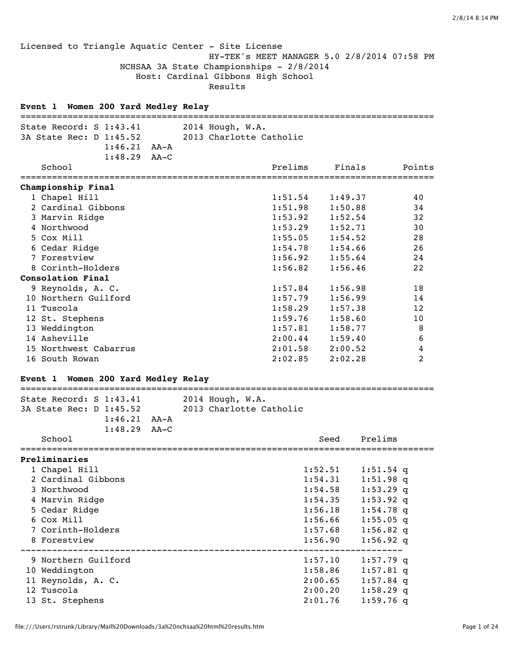## Licensed to Triangle Aquatic Center - Site License HY-TEK's MEET MANAGER 5.0 2/8/2014 07:58 PM NCHSAA 3A State Championships - 2/8/2014 Host: Cardinal Gibbons High School Results

# **Event 1 Women 200 Yard Medley Relay** =============================================================================== State Record: S 1:43.41 2014 Hough, W.A. 3A State Rec: D 1:45.52 2013 Charlotte Catholic 1:46.21 AA-A 1:48.29 AA-C School **Prelims** Finals Points

| Championship Final       |         |         |    |
|--------------------------|---------|---------|----|
| 1 Chapel Hill            | 1:51.54 | 1:49.37 | 40 |
| 2 Cardinal Gibbons       | 1:51.98 | 1:50.88 | 34 |
| 3 Marvin Ridge           | 1:53.92 | 1:52.54 | 32 |
| 4 Northwood              | 1:53.29 | 1:52.71 | 30 |
| 5 Cox Mill               | 1:55.05 | 1:54.52 | 28 |
| 6 Cedar Ridge            | 1:54.78 | 1:54.66 | 26 |
| 7 Forestview             | 1:56.92 | 1:55.64 | 24 |
| 8 Corinth-Holders        | 1:56.82 | 1:56.46 | 22 |
| <b>Consolation Final</b> |         |         |    |
| 9 Reynolds, A. C.        | 1:57.84 | 1:56.98 | 18 |
| 10 Northern Guilford     | 1:57.79 | 1:56.99 | 14 |
| 11 Tuscola               | 1:58.29 | 1:57.38 | 12 |
| 12 St. Stephens          | 1:59.76 | 1:58.60 | 10 |
| 13 Weddington            | 1:57.81 | 1:58.77 | 8  |
| 14 Asheville             | 2:00.44 | 1:59.40 | 6  |
| 15 Northwest Cabarrus    | 2:01.58 | 2:00.52 | 4  |

## **Event 1 Women 200 Yard Medley Relay**

# =============================================================================== State Record: S 1:43.41 2014 Hough, W.A. 3A State Rec: D 1:45.52 2013 Charlotte Catholic 1:46.21 AA-A 1:48.29 AA-C School Seed Prelims =============================================================================== **Preliminaries** 1 Chapel Hill 1:52.51 1:51.54 q 2 Cardinal Gibbons 1:54.31 1:51.98 q 3 Northwood 1:54.58 1:53.29 q 4 Marvin Ridge 1:54.35 1:53.92 q 5 Cedar Ridge 1:56.18 1:54.78 q 6 Cox Mill 1:56.66 1:55.05 q 7 Corinth-Holders 1:57.68 1:56.82 q 8 Forestview 1:56.90 1:56.92 q ------------------------------------------------------------------------- 9 Northern Guilford 1:57.10 1:57.79 q 10 Weddington 1:58.86 1:57.81 q 11 Reynolds, A. C. 2:00.65 1:57.84 q 12 Tuscola 2:00.20 1:58.29 q 13 St. Stephens 2:01.76 1:59.76 q

16 South Rowan 2:02.85 2:02.28 2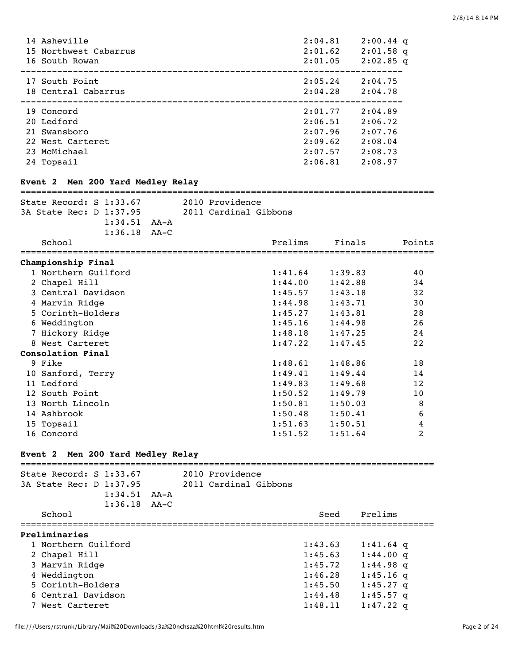| 14 Asheville          | 2:04.81 | $2:00.44$ q |
|-----------------------|---------|-------------|
| 15 Northwest Cabarrus | 2:01.62 | $2:01.58$ q |
| 16 South Rowan        | 2:01.05 | $2:02.85$ q |
| 17 South Point        | 2:05.24 | 2:04.75     |
| 18 Central Cabarrus   | 2:04.28 | 2:04.78     |
|                       |         |             |
| 19 Concord            | 2:01.77 | 2:04.89     |
| 20 Ledford            | 2:06.51 | 2:06.72     |
| 21 Swansboro          | 2:07.96 | 2:07.76     |
| 22 West Carteret      | 2:09.62 | 2:08.04     |
| 23 McMichael          | 2:07.57 | 2:08.73     |

### **Event 2 Men 200 Yard Medley Relay**

=============================================================================== State Record: S 1:33.67 2010 Providence 3A State Rec: D 1:37.95 2011 Cardinal Gibbons 1:34.51 AA-A 1:36.18 AA-C

| School                                            | Prelims | Finals  | Points |
|---------------------------------------------------|---------|---------|--------|
| ===========================<br>Championship Final |         |         |        |
| 1 Northern Guilford                               | 1:41.64 | 1:39.83 | 40     |
| 2 Chapel Hill                                     | 1:44.00 | 1:42.88 | 34     |
| 3 Central Davidson                                | 1:45.57 | 1:43.18 | 32     |
| 4 Marvin Ridge                                    | 1:44.98 | 1:43.71 | 30     |
| 5 Corinth-Holders                                 | 1:45.27 | 1:43.81 | 28     |
| 6 Weddington                                      | 1:45.16 | 1:44.98 | 26     |
| 7 Hickory Ridge                                   | 1:48.18 | 1:47.25 | 24     |
| 8 West Carteret                                   | 1:47.22 | 1:47.45 | 22     |
| <b>Consolation Final</b>                          |         |         |        |
| 9 Fike                                            | 1:48.61 | 1:48.86 | 18     |
| 10 Sanford, Terry                                 | 1:49.41 | 1:49.44 | 14     |
| 11 Ledford                                        | 1:49.83 | 1:49.68 | 12     |
| 12 South Point                                    | 1:50.52 | 1:49.79 | 10     |
| 13 North Lincoln                                  | 1:50.81 | 1:50.03 | 8      |
| 14 Ashbrook                                       | 1:50.48 | 1:50.41 | 6      |
| 15 Topsail                                        | 1:51.63 | 1:50.51 | 4      |
| 16 Concord                                        | 1:51.52 | 1:51.64 | 2      |

## **Event 2 Men 200 Yard Medley Relay**

| State Record: $S$ 1:33.67 |      | 2010 Providence       |         |             |  |  |
|---------------------------|------|-----------------------|---------|-------------|--|--|
| 3A State Rec: D 1:37.95   |      | 2011 Cardinal Gibbons |         |             |  |  |
| 1:34.51                   | AA-A |                       |         |             |  |  |
| $1:36.18$ $AA-C$          |      |                       |         |             |  |  |
| School                    |      |                       | Seed    | Prelims     |  |  |
| Preliminaries             |      |                       |         |             |  |  |
| 1 Northern Guilford       |      |                       | 1:43.63 | $1:41.64$ q |  |  |
| 2 Chapel Hill             |      |                       | 1:45.63 | $1:44.00$ q |  |  |
| 3 Marvin Ridge            |      |                       | 1:45.72 | $1:44.98$ q |  |  |
| 4 Weddington              |      |                       | 1:46.28 | $1:45.16$ q |  |  |
| 5 Corinth-Holders         |      |                       | 1:45.50 | $1:45.27$ q |  |  |
| 6 Central Davidson        |      |                       | 1:44.48 | $1:45.57$ q |  |  |
| 7 West Carteret           |      |                       | 1:48.11 | $1:47.22$ a |  |  |
|                           |      |                       |         |             |  |  |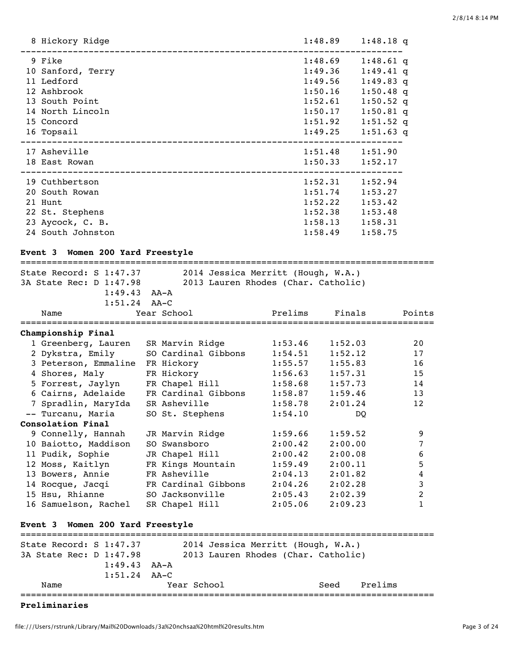| 1:48.89                                             | $1:48.18$ q                                                                                                          |
|-----------------------------------------------------|----------------------------------------------------------------------------------------------------------------------|
| 1:49.36<br>1:50.16<br>1:52.61<br>1:50.17<br>1:51.92 | $1:48.61$ q<br>$1:49.41$ q<br>$1:49.83$ q<br>$1:50.48$ q<br>$1:50.52$ q<br>$1:50.81$ q<br>$1:51.52$ q<br>$1:51.63$ q |
|                                                     | 1:51.90<br>1:52.17                                                                                                   |
| 1:52.22<br>1:52.38<br>1:58.49                       | 1:52.94<br>1:53.27<br>1:53.42<br>1:53.48<br>1:58.31<br>1:58.75                                                       |
|                                                     | 1:48.69<br>1:49.56<br>1:49.25<br>1:51.48<br>1:50.33<br>1:52.31<br>1:51.74<br>1:58.13                                 |

# **Event 3 Women 200 Yard Freestyle**

| 2014 Jessica Merritt (Hough, W.A.)<br>State Record: S 1:47.37 |                                     |         |         |                           |  |  |
|---------------------------------------------------------------|-------------------------------------|---------|---------|---------------------------|--|--|
| 3A State Rec: D 1:47.98                                       | 2013 Lauren Rhodes (Char. Catholic) |         |         |                           |  |  |
| $1:49.43$ $AA-A$                                              |                                     |         |         |                           |  |  |
| $1:51.24$ AA-C                                                |                                     |         |         |                           |  |  |
| Name                                                          | Year School                         | Prelims | Finals  | Points<br>=============== |  |  |
| Championship Final                                            |                                     |         |         |                           |  |  |
| 1 Greenberg, Lauren                                           | SR Marvin Ridge                     | 1:53.46 | 1:52.03 | 20                        |  |  |
| 2 Dykstra, Emily                                              | SO Cardinal Gibbons                 | 1:54.51 | 1:52.12 | 17                        |  |  |
| 3 Peterson, Emmaline FR Hickory                               |                                     | 1:55.57 | 1:55.83 | 16                        |  |  |
| 4 Shores, Maly                                                | FR Hickory                          | 1:56.63 | 1:57.31 | 15                        |  |  |
| 5 Forrest, Jaylyn                                             | FR Chapel Hill                      | 1:58.68 | 1:57.73 | 14                        |  |  |
| 6 Cairns, Adelaide                                            | FR Cardinal Gibbons                 | 1:58.87 | 1:59.46 | 13                        |  |  |
| 7 Spradlin, MaryIda                                           | SR Asheville                        | 1:58.78 | 2:01.24 | 12                        |  |  |
| -- Turcanu, Maria                                             | SO St. Stephens                     | 1:54.10 | DO      |                           |  |  |
| Consolation Final                                             |                                     |         |         |                           |  |  |
| 9 Connelly, Hannah                                            | JR Marvin Ridge                     | 1:59.66 | 1:59.52 | 9                         |  |  |
| 10 Baiotto, Maddison                                          | SO Swansboro                        | 2:00.42 | 2:00.00 | 7                         |  |  |
| 11 Pudik, Sophie                                              | JR Chapel Hill                      | 2:00.42 | 2:00.08 | 6                         |  |  |
| 12 Moss, Kaitlyn                                              | FR Kings Mountain                   | 1:59.49 | 2:00.11 | 5                         |  |  |
| 13 Bowers, Annie                                              | FR Asheville                        | 2:04.13 | 2:01.82 | 4                         |  |  |
| 14 Rocque, Jacqi                                              | FR Cardinal Gibbons                 | 2:04.26 | 2:02.28 | 3                         |  |  |
| 15 Hsu, Rhianne                                               | SO Jacksonville                     | 2:05.43 | 2:02.39 | 2                         |  |  |
| 16 Samuelson, Rachel                                          | SR Chapel Hill                      | 2:05.06 | 2:09.23 | $\mathbf{1}$              |  |  |
|                                                               |                                     |         |         |                           |  |  |
| Event 3 Women 200 Yard Freestyle                              |                                     |         |         |                           |  |  |
| State Record: S 1:47.37                                       | 2014 Jessica Merritt (Hough, W.A.)  |         |         |                           |  |  |
| 3A State Rec: D 1:47.98                                       | 2013 Lauren Rhodes (Char. Catholic) |         |         |                           |  |  |
| $1:49.43$ $AA-A$                                              |                                     |         |         |                           |  |  |
| $1:51.24$ AA-C                                                |                                     |         |         |                           |  |  |
| Name                                                          | Year School                         |         | Seed    | Prelims                   |  |  |

### **Preliminaries**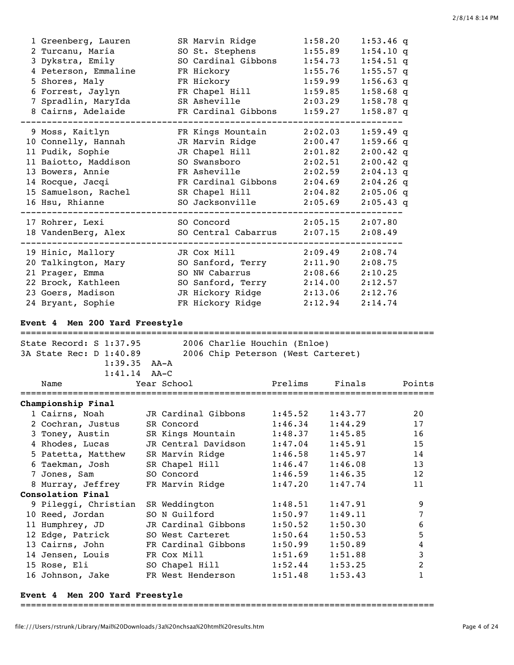| 1 Greenberg, Lauren  | SR Marvin Ridge     | 1:58.20 | $1:53.46$ q |
|----------------------|---------------------|---------|-------------|
| 2 Turcanu, Maria     | SO St. Stephens     | 1:55.89 | $1:54.10$ q |
| 3 Dykstra, Emily     | SO Cardinal Gibbons | 1:54.73 | $1:54.51$ q |
| 4 Peterson, Emmaline | FR Hickory          | 1:55.76 | $1:55.57$ q |
| 5 Shores, Maly       | FR Hickory          | 1:59.99 | $1:56.63$ q |
| 6 Forrest, Jaylyn    | FR Chapel Hill      | 1:59.85 | $1:58.68$ q |
| 7 Spradlin, MaryIda  | SR Asheville        | 2:03.29 | $1:58.78$ q |
| 8 Cairns, Adelaide   | FR Cardinal Gibbons | 1:59.27 | $1:58.87$ q |
| 9 Moss, Kaitlyn      | FR Kings Mountain   | 2:02.03 | $1:59.49$ q |
| 10 Connelly, Hannah  | JR Marvin Ridge     | 2:00.47 | $1:59.66$ q |
| 11 Pudik, Sophie     | JR Chapel Hill      | 2:01.82 | $2:00.42$ q |
| 11 Baiotto, Maddison | SO Swansboro        | 2:02.51 | $2:00.42$ q |
| 13 Bowers, Annie     | FR Asheville        | 2:02.59 | $2:04.13$ q |
| 14 Rocque, Jacqi     | FR Cardinal Gibbons | 2:04.69 | $2:04.26$ q |
| 15 Samuelson, Rachel | SR Chapel Hill      | 2:04.82 | $2:05.06$ q |
| 16 Hsu, Rhianne      | SO Jacksonville     | 2:05.69 | $2:05.43$ q |
| 17 Rohrer, Lexi      | SO Concord          | 2:05.15 | 2:07.80     |
| 18 VandenBerg, Alex  | SO Central Cabarrus | 2:07.15 | 2:08.49     |
| 19 Hinic, Mallory    | JR Cox Mill         | 2:09.49 | 2:08.74     |
| 20 Talkington, Mary  | SO Sanford, Terry   | 2:11.90 | 2:08.75     |
| 21 Prager, Emma      | SO NW Cabarrus      | 2:08.66 | 2:10.25     |
| 22 Brock, Kathleen   | SO Sanford, Terry   | 2:14.00 | 2:12.57     |
| 23 Goers, Madison    | JR Hickory Ridge    | 2:13.06 | 2:12.76     |
| 24 Bryant, Sophie    | FR Hickory Ridge    | 2:12.94 | 2:14.74     |

# **Event 4 Men 200 Yard Freestyle**

| State Record: S 1:37.95<br>2006 Charlie Houchin (Enloe) |  |                                    |         |         |        |  |
|---------------------------------------------------------|--|------------------------------------|---------|---------|--------|--|
| 3A State Rec: D 1:40.89                                 |  | 2006 Chip Peterson (West Carteret) |         |         |        |  |
| $1:39.35$ $AA-A$                                        |  |                                    |         |         |        |  |
| $1:41.14$ $AA-C$                                        |  |                                    |         |         |        |  |
| Name                                                    |  | Year School                        | Prelims | Finals  | Points |  |
| Championship Final                                      |  |                                    |         |         |        |  |
| 1 Cairns, Noah                                          |  | JR Cardinal Gibbons                | 1:45.52 | 1:43.77 | 20     |  |
| 2 Cochran, Justus                                       |  | SR Concord                         | 1:46.34 | 1:44.29 | 17     |  |
| 3 Toney, Austin                                         |  | SR Kings Mountain                  | 1:48.37 | 1:45.85 | 16     |  |
| 4 Rhodes, Lucas                                         |  | JR Central Davidson                | 1:47.04 | 1:45.91 | 15     |  |
| 5 Patetta, Matthew                                      |  | SR Marvin Ridge                    | 1:46.58 | 1:45.97 | 14     |  |
| 6 Taekman, Josh                                         |  | SR Chapel Hill                     | 1:46.47 | 1:46.08 | 13     |  |
| 7 Jones, Sam                                            |  | SO Concord                         | 1:46.59 | 1:46.35 | 12     |  |
| 8 Murray, Jeffrey                                       |  | FR Marvin Ridge                    | 1:47.20 | 1:47.74 | 11     |  |
| Consolation Final                                       |  |                                    |         |         |        |  |
| 9 Pileggi, Christian                                    |  | SR Weddington                      | 1:48.51 | 1:47.91 | 9      |  |
| 10 Reed, Jordan                                         |  | SO N Guilford                      | 1:50.97 | 1:49.11 | 7      |  |
| 11 Humphrey, JD                                         |  | JR Cardinal Gibbons                | 1:50.52 | 1:50.30 | 6      |  |
| 12 Edge, Patrick                                        |  | SO West Carteret                   | 1:50.64 | 1:50.53 | 5      |  |
| 13 Cairns, John                                         |  | FR Cardinal Gibbons                | 1:50.99 | 1:50.89 | 4      |  |
| 14 Jensen, Louis                                        |  | FR Cox Mill                        | 1:51.69 | 1:51.88 | 3      |  |
| 15 Rose, Eli                                            |  | SO Chapel Hill                     | 1:52.44 | 1:53.25 | 2      |  |
| 16 Johnson, Jake                                        |  | FR West Henderson                  | 1:51.48 | 1:53.43 | 1      |  |

### **Event 4 Men 200 Yard Freestyle**

===============================================================================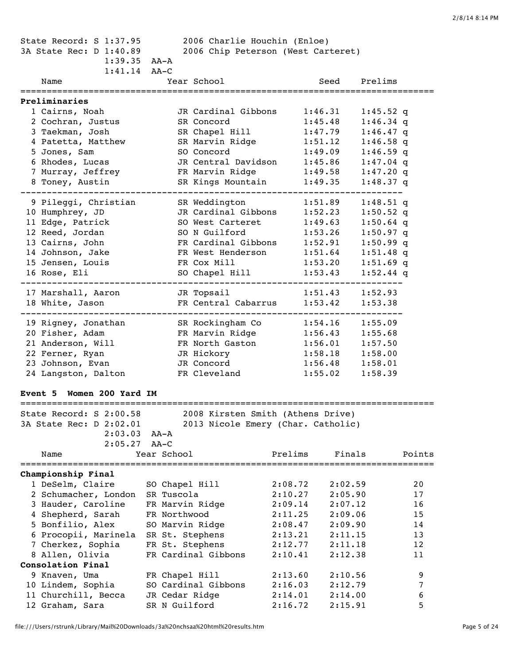| State Record: S 1:37.95<br>2006 Charlie Houchin (Enloe)<br>2006 Chip Peterson (West Carteret)<br>3A State Rec: D 1:40.89<br>$1:39.35$ $AA-A$<br>$1:41.14$ $AA-C$ |                 |                                    |         |                                   |        |
|------------------------------------------------------------------------------------------------------------------------------------------------------------------|-----------------|------------------------------------|---------|-----------------------------------|--------|
| Name                                                                                                                                                             |                 | Year School                        |         | Seed Prelims                      |        |
| Preliminaries                                                                                                                                                    |                 |                                    |         | ================================= |        |
| 1 Cairns, Noah                                                                                                                                                   |                 | JR Cardinal Gibbons                | 1:46.31 | $1:45.52$ q                       |        |
| 2 Cochran, Justus                                                                                                                                                |                 | SR Concord                         | 1:45.48 | $1:46.34$ q                       |        |
| 3 Taekman, Josh                                                                                                                                                  |                 | SR Chapel Hill                     | 1:47.79 | $1:46.47$ q                       |        |
| 4 Patetta, Matthew                                                                                                                                               |                 | SR Marvin Ridge                    | 1:51.12 | $1:46.58$ q                       |        |
| 5 Jones, Sam                                                                                                                                                     |                 | SO Concord                         | 1:49.09 | $1:46.59$ q                       |        |
| 6 Rhodes, Lucas                                                                                                                                                  |                 | JR Central Davidson 1:45.86        |         | $1:47.04$ q                       |        |
| 7 Murray, Jeffrey                                                                                                                                                |                 | FR Marvin Ridge                    | 1:49.58 | $1:47.20$ q                       |        |
| 8 Toney, Austin                                                                                                                                                  |                 | SR Kings Mountain                  | 1:49.35 | $1:48.37$ q                       |        |
| 9 Pileggi, Christian                                                                                                                                             |                 | SR Weddington                      | 1:51.89 | $1:48.51$ q                       |        |
| 10 Humphrey, JD                                                                                                                                                  |                 | JR Cardinal Gibbons                | 1:52.23 | $1:50.52$ q                       |        |
| 11 Edge, Patrick                                                                                                                                                 |                 | SO West Carteret                   | 1:49.63 | $1:50.64$ q                       |        |
| 12 Reed, Jordan                                                                                                                                                  |                 | SO N Guilford                      | 1:53.26 | $1:50.97$ q                       |        |
| 13 Cairns, John                                                                                                                                                  |                 | FR Cardinal Gibbons 1:52.91        |         | $1:50.99$ q                       |        |
| 14 Johnson, Jake                                                                                                                                                 |                 | FR West Henderson                  | 1:51.64 | $1:51.48$ q                       |        |
| 15 Jensen, Louis                                                                                                                                                 |                 | FR Cox Mill                        | 1:53.20 | $1:51.69$ q                       |        |
| 16 Rose, Eli                                                                                                                                                     |                 | SO Chapel Hill                     | 1:53.43 | $1:52.44$ q                       |        |
| 17 Marshall, Aaron                                                                                                                                               |                 | JR Topsail                         | 1:51.43 | 1:52.93                           |        |
| 18 White, Jason                                                                                                                                                  |                 | FR Central Cabarrus 1:53.42        |         | 1:53.38                           |        |
| 19 Rigney, Jonathan                                                                                                                                              |                 | SR Rockingham Co                   | 1:54.16 | 1:55.09                           |        |
| 20 Fisher, Adam                                                                                                                                                  |                 | FR Marvin Ridge                    | 1:56.43 | 1:55.68                           |        |
| 21 Anderson, Will                                                                                                                                                |                 | FR North Gaston                    | 1:56.01 | 1:57.50                           |        |
| 22 Ferner, Ryan                                                                                                                                                  |                 | JR Hickory                         | 1:58.18 | 1:58.00                           |        |
| 23 Johnson, Evan                                                                                                                                                 |                 | JR Concord                         | 1:56.48 | 1:58.01                           |        |
| 24 Langston, Dalton                                                                                                                                              |                 | FR Cleveland                       | 1:55.02 | 1:58.39                           |        |
| Women 200 Yard IM<br>Event 5                                                                                                                                     |                 |                                    |         |                                   |        |
| ======================                                                                                                                                           |                 |                                    |         |                                   |        |
| State Record: S 2:00.58                                                                                                                                          |                 | 2008 Kirsten Smith (Athens Drive)  |         |                                   |        |
| 3A State Rec: D 2:02.01                                                                                                                                          |                 | 2013 Nicole Emery (Char. Catholic) |         |                                   |        |
| 2:03.03                                                                                                                                                          | AA-A            |                                    |         |                                   |        |
| 2:05.27                                                                                                                                                          | $AA-C$          |                                    |         |                                   |        |
| Name                                                                                                                                                             | Year School     |                                    | Prelims | Finals                            | Points |
| Championship Final                                                                                                                                               |                 |                                    |         |                                   |        |
| 1 DeSelm, Claire                                                                                                                                                 | SO Chapel Hill  |                                    | 2:08.72 | 2:02.59                           | 20     |
| 2 Schumacher, London                                                                                                                                             | SR Tuscola      |                                    | 2:10.27 | 2:05.90                           | 17     |
| 3 Hauder, Caroline                                                                                                                                               | FR Marvin Ridge |                                    | 2:09.14 | 2:07.12                           | 16     |
| 4 Shepherd, Sarah                                                                                                                                                | FR Northwood    |                                    | 2:11.25 | 2:09.06                           | 15     |
| 5 Bonfilio, Alex                                                                                                                                                 | SO Marvin Ridge |                                    | 2:08.47 | 2:09.90                           | 14     |
| 6 Procopii, Marinela                                                                                                                                             | SR St. Stephens |                                    | 2:13.21 | 2:11.15                           | 13     |
| 7 Cherkez, Sophia                                                                                                                                                | FR St. Stephens |                                    | 2:12.77 | 2:11.18                           | 12     |
| 8 Allen, Olivia                                                                                                                                                  |                 | FR Cardinal Gibbons                | 2:10.41 | 2:12.38                           | 11     |
| Consolation Final                                                                                                                                                |                 |                                    |         |                                   |        |
| 9 Knaven, Uma                                                                                                                                                    | FR Chapel Hill  |                                    | 2:13.60 | 2:10.56                           | 9      |
| 10 Lindem, Sophia                                                                                                                                                |                 | SO Cardinal Gibbons                | 2:16.03 | 2:12.79                           | 7      |
| 11 Churchill, Becca                                                                                                                                              | JR Cedar Ridge  |                                    | 2:14.01 | 2:14.00                           | 6      |
| 12 Graham, Sara                                                                                                                                                  | SR N Guilford   |                                    | 2:16.72 | 2:15.91                           | 5      |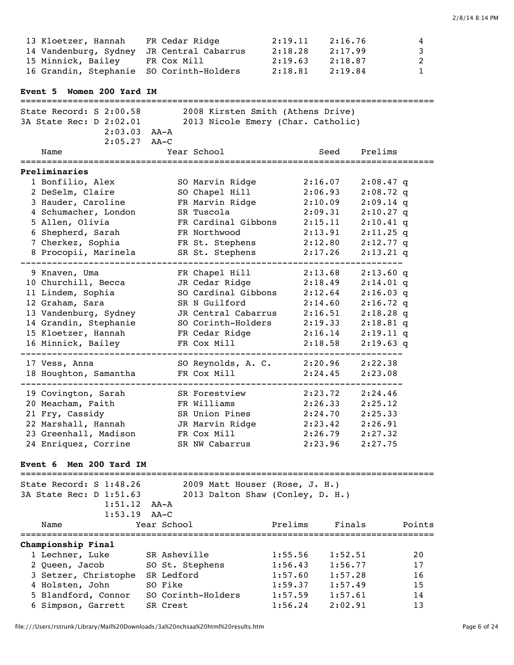| Event 5 Women 200 Yard IM<br>===========================<br>State Record: S 2:00.58<br>2008 Kirsten Smith (Athens Drive)<br>3A State Rec: D 2:02.01<br>2013 Nicole Emery (Char. Catholic)<br>2:03.03<br>AA-A<br>2:05.27<br>$AA-C$<br>Year School<br>Prelims<br>Name<br>Seed<br>Preliminaries<br>1 Bonfilio, Alex<br>2:16.07<br>SO Marvin Ridge<br>$2:08.47$ q<br>2 DeSelm, Claire<br>SO Chapel Hill<br>2:06.93<br>$2:08.72$ q<br>FR Marvin Ridge<br>3 Hauder, Caroline<br>$2:09.14$ q<br>2:10.09<br>4 Schumacher, London<br>SR Tuscola<br>2:09.31<br>$2:10.27$ q<br>5 Allen, Olivia<br>FR Cardinal Gibbons<br>2:15.11<br>$2:10.41$ q<br>6 Shepherd, Sarah<br>FR Northwood<br>2:13.91<br>$2:11.25$ q<br>7 Cherkez, Sophia<br>FR St. Stephens<br>2:12.80<br>$2:12.77$ q<br>8 Procopii, Marinela<br>SR St. Stephens<br>$2:13.21$ q<br>2:17.26<br>9 Knaven, Uma<br>FR Chapel Hill<br>2:13.68<br>$2:13.60$ q<br>JR Cedar Ridge<br>10 Churchill, Becca<br>2:18.49<br>$2:14.01$ q<br>11 Lindem, Sophia<br>SO Cardinal Gibbons<br>2:12.64<br>$2:16.03$ q<br>12 Graham, Sara<br>SR N Guilford<br>2:14.60<br>$2:16.72$ q<br>13 Vandenburg, Sydney<br>JR Central Cabarrus<br>2:16.51<br>$2:18.28$ q<br>14 Grandin, Stephanie<br>SO Corinth-Holders<br>2:19.33<br>$2:18.81$ q<br>15 Kloetzer, Hannah<br>FR Cedar Ridge<br>2:16.14<br>$2:19.11$ q<br>16 Minnick, Bailey<br>FR Cox Mill<br>2:18.58<br>$2:19.63$ q<br>SO Reynolds, A. C.<br>2:20.96<br>2:22.38<br>17 Vess, Anna<br>FR Cox Mill<br>18 Houghton, Samantha<br>2:24.45<br>2:23.08<br>19 Covington, Sarah<br>2:24.46<br>SR Forestview<br>2:23.72<br>20 Meacham, Faith<br>FR Williams<br>2:26.33<br>2:25.12<br>SR Union Pines<br>21 Fry, Cassidy<br>2:24.70<br>2:25.33<br>JR Marvin Ridge<br>2:23.42<br>2:26.91<br>22 Marshall, Hannah<br>FR Cox Mill<br>23 Greenhall, Madison<br>2:26.79<br>2:27.32<br>24 Enriquez, Corrine<br>SR NW Cabarrus<br>2:23.96<br>2:27.75<br>Event 6 Men 200 Yard IM<br>State Record: S 1:48.26<br>2009 Matt Houser (Rose, J. H.)<br>3A State Rec: D 1:51.63<br>2013 Dalton Shaw (Conley, D. H.)<br>1:51.12<br>AA-A<br>1:53.19<br>$AA-C$<br>Year School<br>Prelims<br>Finals<br>Name<br>Championship Final<br>1 Lechner, Luke<br>SR Asheville<br>1:55.56<br>1:52.51<br>2 Queen, Jacob<br>1:56.43<br>1:56.77<br>SO St. Stephens<br>3 Setzer, Christophe<br>SR Ledford<br>1:57.60<br>1:57.28<br>SO Fike<br>4 Holsten, John<br>1:57.49<br>1:59.37 | 13 Kloetzer, Hannah<br>14 Vandenburg, Sydney<br>15 Minnick, Bailey<br>16 Grandin, Stephanie | FR Cedar Ridge<br>JR Central Cabarrus<br>FR Cox Mill<br>SO Corinth-Holders | 2:16.76<br>2:19.11<br>2:17.99<br>2:18.28<br>2:19.63<br>2:18.87<br>2:18.81<br>2:19.84 | 4<br>3<br>$\overline{c}$<br>$\mathbf{1}$ |
|----------------------------------------------------------------------------------------------------------------------------------------------------------------------------------------------------------------------------------------------------------------------------------------------------------------------------------------------------------------------------------------------------------------------------------------------------------------------------------------------------------------------------------------------------------------------------------------------------------------------------------------------------------------------------------------------------------------------------------------------------------------------------------------------------------------------------------------------------------------------------------------------------------------------------------------------------------------------------------------------------------------------------------------------------------------------------------------------------------------------------------------------------------------------------------------------------------------------------------------------------------------------------------------------------------------------------------------------------------------------------------------------------------------------------------------------------------------------------------------------------------------------------------------------------------------------------------------------------------------------------------------------------------------------------------------------------------------------------------------------------------------------------------------------------------------------------------------------------------------------------------------------------------------------------------------------------------------------------------------------------------------------------------------------------------------------------------------------------------------------------------------------------------------------------------------------------------------------------------------------------------------------------------------------------------------------------------------------------------------------------------------------------------------------|---------------------------------------------------------------------------------------------|----------------------------------------------------------------------------|--------------------------------------------------------------------------------------|------------------------------------------|
|                                                                                                                                                                                                                                                                                                                                                                                                                                                                                                                                                                                                                                                                                                                                                                                                                                                                                                                                                                                                                                                                                                                                                                                                                                                                                                                                                                                                                                                                                                                                                                                                                                                                                                                                                                                                                                                                                                                                                                                                                                                                                                                                                                                                                                                                                                                                                                                                                      |                                                                                             |                                                                            |                                                                                      |                                          |
|                                                                                                                                                                                                                                                                                                                                                                                                                                                                                                                                                                                                                                                                                                                                                                                                                                                                                                                                                                                                                                                                                                                                                                                                                                                                                                                                                                                                                                                                                                                                                                                                                                                                                                                                                                                                                                                                                                                                                                                                                                                                                                                                                                                                                                                                                                                                                                                                                      |                                                                                             |                                                                            |                                                                                      |                                          |
|                                                                                                                                                                                                                                                                                                                                                                                                                                                                                                                                                                                                                                                                                                                                                                                                                                                                                                                                                                                                                                                                                                                                                                                                                                                                                                                                                                                                                                                                                                                                                                                                                                                                                                                                                                                                                                                                                                                                                                                                                                                                                                                                                                                                                                                                                                                                                                                                                      |                                                                                             |                                                                            |                                                                                      |                                          |
|                                                                                                                                                                                                                                                                                                                                                                                                                                                                                                                                                                                                                                                                                                                                                                                                                                                                                                                                                                                                                                                                                                                                                                                                                                                                                                                                                                                                                                                                                                                                                                                                                                                                                                                                                                                                                                                                                                                                                                                                                                                                                                                                                                                                                                                                                                                                                                                                                      |                                                                                             |                                                                            |                                                                                      |                                          |
|                                                                                                                                                                                                                                                                                                                                                                                                                                                                                                                                                                                                                                                                                                                                                                                                                                                                                                                                                                                                                                                                                                                                                                                                                                                                                                                                                                                                                                                                                                                                                                                                                                                                                                                                                                                                                                                                                                                                                                                                                                                                                                                                                                                                                                                                                                                                                                                                                      |                                                                                             |                                                                            |                                                                                      |                                          |
|                                                                                                                                                                                                                                                                                                                                                                                                                                                                                                                                                                                                                                                                                                                                                                                                                                                                                                                                                                                                                                                                                                                                                                                                                                                                                                                                                                                                                                                                                                                                                                                                                                                                                                                                                                                                                                                                                                                                                                                                                                                                                                                                                                                                                                                                                                                                                                                                                      |                                                                                             |                                                                            |                                                                                      |                                          |
|                                                                                                                                                                                                                                                                                                                                                                                                                                                                                                                                                                                                                                                                                                                                                                                                                                                                                                                                                                                                                                                                                                                                                                                                                                                                                                                                                                                                                                                                                                                                                                                                                                                                                                                                                                                                                                                                                                                                                                                                                                                                                                                                                                                                                                                                                                                                                                                                                      |                                                                                             |                                                                            |                                                                                      |                                          |
|                                                                                                                                                                                                                                                                                                                                                                                                                                                                                                                                                                                                                                                                                                                                                                                                                                                                                                                                                                                                                                                                                                                                                                                                                                                                                                                                                                                                                                                                                                                                                                                                                                                                                                                                                                                                                                                                                                                                                                                                                                                                                                                                                                                                                                                                                                                                                                                                                      |                                                                                             |                                                                            |                                                                                      |                                          |
|                                                                                                                                                                                                                                                                                                                                                                                                                                                                                                                                                                                                                                                                                                                                                                                                                                                                                                                                                                                                                                                                                                                                                                                                                                                                                                                                                                                                                                                                                                                                                                                                                                                                                                                                                                                                                                                                                                                                                                                                                                                                                                                                                                                                                                                                                                                                                                                                                      |                                                                                             |                                                                            |                                                                                      |                                          |
|                                                                                                                                                                                                                                                                                                                                                                                                                                                                                                                                                                                                                                                                                                                                                                                                                                                                                                                                                                                                                                                                                                                                                                                                                                                                                                                                                                                                                                                                                                                                                                                                                                                                                                                                                                                                                                                                                                                                                                                                                                                                                                                                                                                                                                                                                                                                                                                                                      |                                                                                             |                                                                            |                                                                                      | Points                                   |
| 1:57.61<br>1:57.59<br>6 Simpson, Garrett<br>2:02.91<br>SR Crest<br>1:56.24                                                                                                                                                                                                                                                                                                                                                                                                                                                                                                                                                                                                                                                                                                                                                                                                                                                                                                                                                                                                                                                                                                                                                                                                                                                                                                                                                                                                                                                                                                                                                                                                                                                                                                                                                                                                                                                                                                                                                                                                                                                                                                                                                                                                                                                                                                                                           | 5 Blandford, Connor                                                                         | SO Corinth-Holders                                                         |                                                                                      | 20<br>17<br>16<br>15<br>14<br>13         |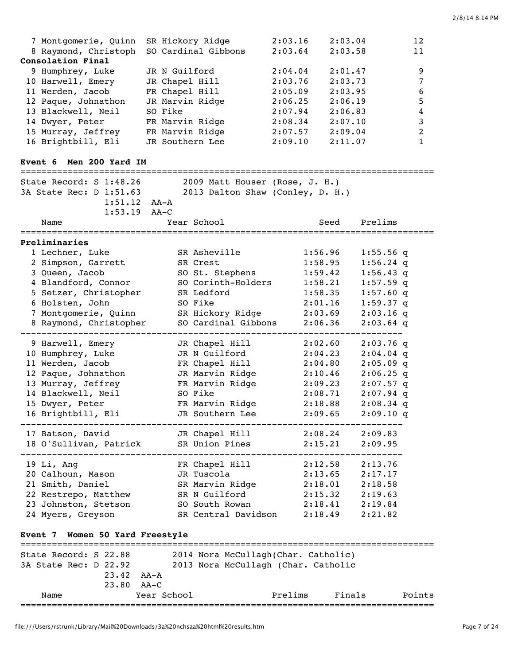| 7 Montgomerie, Quinn | SR Hickory Ridge                         | 2:03.16 | 2:03.04 | 12 |
|----------------------|------------------------------------------|---------|---------|----|
|                      | 8 Raymond, Christoph SO Cardinal Gibbons | 2:03.64 | 2:03.58 | 11 |
| Consolation Final    |                                          |         |         |    |
| 9 Humphrey, Luke     | JR N Guilford                            | 2:04.04 | 2:01.47 | 9  |
| 10 Harwell, Emery    | JR Chapel Hill                           | 2:03.76 | 2:03.73 | 7  |
| 11 Werden, Jacob     | FR Chapel Hill                           | 2:05.09 | 2:03.95 | 6  |
| 12 Paque, Johnathon  | JR Marvin Ridge                          | 2:06.25 | 2:06.19 | .5 |
| 13 Blackwell, Neil   | SO Fike                                  | 2:07.94 | 2:06.83 | 4  |
| 14 Dwyer, Peter      | FR Marvin Ridge                          | 2:08.34 | 2:07.10 | 3  |
| 15 Murray, Jeffrey   | FR Marvin Ridge                          | 2:07.57 | 2:09.04 | 2  |
| 16 Brightbill, Eli   | JR Southern Lee                          | 2:09.10 | 2:11.07 |    |

### **Event 6 Men 200 Yard IM**

| State Record: S 1:48.26<br>2009 Matt Houser (Rose, J. H.)<br>2013 Dalton Shaw (Conley, D. H.)<br>3A State Rec: D 1:51.63<br>$1:51.12$ $AA-A$ |                        |  |                     |         |             |
|----------------------------------------------------------------------------------------------------------------------------------------------|------------------------|--|---------------------|---------|-------------|
|                                                                                                                                              | $1:53.19$ AA-C<br>Name |  | Year School         | Seed    | Prelims     |
|                                                                                                                                              | Preliminaries          |  |                     |         |             |
|                                                                                                                                              | 1 Lechner, Luke        |  | SR Asheville        | 1:56.96 | $1:55.56$ q |
|                                                                                                                                              | 2 Simpson, Garrett     |  | SR Crest            | 1:58.95 | $1:56.24$ q |
|                                                                                                                                              | 3 Queen, Jacob         |  | SO St. Stephens     | 1:59.42 | $1:56.43$ q |
|                                                                                                                                              | 4 Blandford, Connor    |  | SO Corinth-Holders  | 1:58.21 | $1:57.59$ q |
|                                                                                                                                              | 5 Setzer, Christopher  |  | SR Ledford          | 1:58.35 | 1:57.60q    |
|                                                                                                                                              | 6 Holsten, John        |  | SO Fike             | 2:01.16 | $1:59.37$ q |
|                                                                                                                                              | 7 Montgomerie, Quinn   |  | SR Hickory Ridge    | 2:03.69 | $2:03.16$ q |
|                                                                                                                                              | 8 Raymond, Christopher |  | SO Cardinal Gibbons | 2:06.36 | $2:03.64$ q |
|                                                                                                                                              | 9 Harwell, Emery       |  | JR Chapel Hill      | 2:02.60 | $2:03.76$ q |
|                                                                                                                                              | 10 Humphrey, Luke      |  | JR N Guilford       | 2:04.23 | $2:04.04$ q |
|                                                                                                                                              | 11 Werden, Jacob       |  | FR Chapel Hill      | 2:04.80 | $2:05.09$ q |
|                                                                                                                                              | 12 Paque, Johnathon    |  | JR Marvin Ridge     | 2:10.46 | $2:06.25$ q |
|                                                                                                                                              | 13 Murray, Jeffrey     |  | FR Marvin Ridge     | 2:09.23 | $2:07.57$ q |
|                                                                                                                                              | 14 Blackwell, Neil     |  | SO Fike             | 2:08.71 | $2:07.94$ q |
|                                                                                                                                              | 15 Dwyer, Peter        |  | FR Marvin Ridge     | 2:18.88 | $2:08.34$ q |
|                                                                                                                                              | 16 Brightbill, Eli     |  | JR Southern Lee     | 2:09.65 | $2:09.10$ q |
|                                                                                                                                              | 17 Batson, David       |  | JR Chapel Hill      | 2:08.24 | 2:09.83     |
|                                                                                                                                              | 18 O'Sullivan, Patrick |  | SR Union Pines      | 2:15.21 | 2:09.95     |
|                                                                                                                                              | 19 Li, Ang             |  | FR Chapel Hill      | 2:12.58 | 2:13.76     |
|                                                                                                                                              | 20 Calhoun, Mason      |  | JR Tuscola          | 2:13.65 | 2:17.17     |
|                                                                                                                                              | 21 Smith, Daniel       |  | SR Marvin Ridge     | 2:18.01 | 2:18.58     |
|                                                                                                                                              | 22 Restrepo, Matthew   |  | SR N Guilford       | 2:15.32 | 2:19.63     |
|                                                                                                                                              | 23 Johnston, Stetson   |  | SO South Rowan      | 2:18.41 | 2:19.84     |
|                                                                                                                                              | 24 Myers, Greyson      |  | SR Central Davidson | 2:18.49 | 2:21.82     |
|                                                                                                                                              |                        |  |                     |         |             |

# **Event 7 Women 50 Yard Freestyle**

| State Record: S 22.88 |                  |             | 2014 Nora McCullagh(Char. Catholic) |         |        |        |
|-----------------------|------------------|-------------|-------------------------------------|---------|--------|--------|
| 3A State Rec: D 22.92 |                  |             | 2013 Nora McCullagh (Char. Catholic |         |        |        |
|                       | $23.42$ $AA - A$ |             |                                     |         |        |        |
|                       | $23.80$ $AA-C$   |             |                                     |         |        |        |
| Name                  |                  | Year School |                                     | Prelims | Finals | Points |
|                       |                  |             |                                     |         |        |        |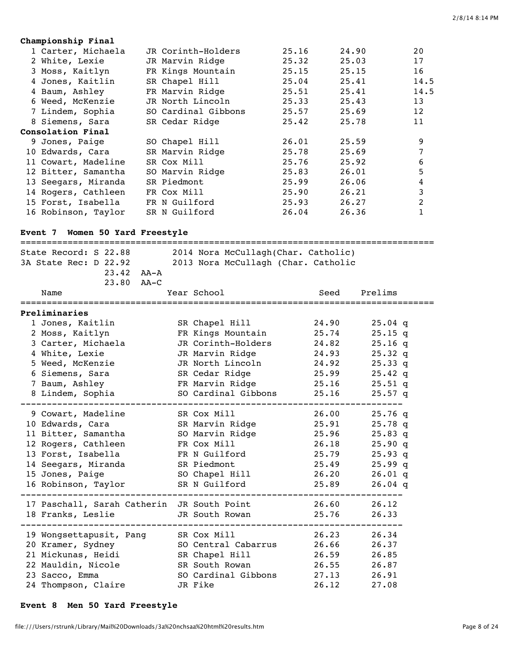## **Championship Final** 1 Carter, Michaela JR Corinth-Holders 25.16 24.90 20 2 White, Lexie JR Marvin Ridge 25.32 25.03 17 3 Moss, Kaitlyn FR Kings Mountain 25.15 25.15 16 4 Jones, Kaitlin SR Chapel Hill 25.04 25.41 14.5 4 Baum, Ashley FR Marvin Ridge 25.51 25.41 14.5 6 Weed, McKenzie JR North Lincoln 25.33 25.43 13 7 Lindem, Sophia SO Cardinal Gibbons 25.57 25.69 12 8 Siemens, Sara SR Cedar Ridge 25.42 25.78 11 **Consolation Final** 9 Jones, Paige SO Chapel Hill 26.01 25.59 9 10 Edwards, Cara SR Marvin Ridge 25.78 25.69 7 11 Cowart, Madeline SR Cox Mill 25.76 25.92 6 12 Bitter, Samantha SO Marvin Ridge 25.83 26.01 5 13 Seegars, Miranda SR Piedmont 25.99 26.06 4 14 Rogers, Cathleen FR Cox Mill 25.90 26.21 3 15 Forst, Isabella FR N Guilford 25.93 26.27 2 16 Robinson, Taylor SR N Guilford 26.04 26.36 1

### **Event 7 Women 50 Yard Freestyle**

| State Record: S 22.88<br>2014 Nora McCullagh(Char. Catholic)<br>2013 Nora McCullagh (Char. Catholic<br>3A State Rec: D 22.92<br>$23.42$ $AA - A$ |  |                                   |       |           |  |  |  |
|--------------------------------------------------------------------------------------------------------------------------------------------------|--|-----------------------------------|-------|-----------|--|--|--|
|                                                                                                                                                  |  |                                   |       |           |  |  |  |
| 23.80 AA-C<br>Name<br>=================                                                                                                          |  | Year School<br>================== | Seed  | Prelims   |  |  |  |
| Preliminaries                                                                                                                                    |  |                                   |       |           |  |  |  |
| 1 Jones, Kaitlin                                                                                                                                 |  | SR Chapel Hill                    | 24.90 | $25.04$ q |  |  |  |
| 2 Moss, Kaitlyn                                                                                                                                  |  | FR Kings Mountain                 | 25.74 | $25.15$ q |  |  |  |
| 3 Carter, Michaela                                                                                                                               |  | JR Corinth-Holders                | 24.82 | $25.16$ q |  |  |  |
| 4 White, Lexie                                                                                                                                   |  | JR Marvin Ridge                   | 24.93 | $25.32$ q |  |  |  |
| 5 Weed, McKenzie                                                                                                                                 |  | JR North Lincoln                  | 24.92 | 25.33q    |  |  |  |
| 6 Siemens, Sara                                                                                                                                  |  | SR Cedar Ridge                    | 25.99 | $25.42$ q |  |  |  |
| 7 Baum, Ashley                                                                                                                                   |  | FR Marvin Ridge                   | 25.16 | $25.51$ q |  |  |  |
| 8 Lindem, Sophia                                                                                                                                 |  | SO Cardinal Gibbons               | 25.16 | $25.57$ q |  |  |  |
| 9 Cowart, Madeline                                                                                                                               |  | SR Cox Mill                       | 26.00 | $25.76$ q |  |  |  |
| 10 Edwards, Cara                                                                                                                                 |  | SR Marvin Ridge                   | 25.91 | $25.78$ q |  |  |  |
| 11 Bitter, Samantha                                                                                                                              |  | SO Marvin Ridge                   | 25.96 | $25.83$ q |  |  |  |
| 12 Rogers, Cathleen                                                                                                                              |  | FR Cox Mill                       | 26.18 | 25.90q    |  |  |  |
| 13 Forst, Isabella                                                                                                                               |  | FR N Guilford                     | 25.79 | 25.93q    |  |  |  |
| 14 Seegars, Miranda                                                                                                                              |  | SR Piedmont                       | 25.49 | 25.99q    |  |  |  |
| 15 Jones, Paige                                                                                                                                  |  | SO Chapel Hill                    | 26.20 | $26.01$ q |  |  |  |
| 16 Robinson, Taylor                                                                                                                              |  | SR N Guilford                     | 25.89 | $26.04$ q |  |  |  |
| 17 Paschall, Sarah Catherin JR South Point                                                                                                       |  |                                   | 26.60 | 26.12     |  |  |  |
| 18 Franks, Leslie                                                                                                                                |  | JR South Rowan                    | 25.76 | 26.33     |  |  |  |
| 19 Wongsettapusit, Pang                                                                                                                          |  | SR Cox Mill                       | 26.23 | 26.34     |  |  |  |
| 20 Kramer, Sydney                                                                                                                                |  | SO Central Cabarrus               | 26.66 | 26.37     |  |  |  |
| 21 Mickunas, Heidi                                                                                                                               |  | SR Chapel Hill                    | 26.59 | 26.85     |  |  |  |
| 22 Mauldin, Nicole                                                                                                                               |  | SR South Rowan                    | 26.55 | 26.87     |  |  |  |
| 23 Sacco, Emma                                                                                                                                   |  | SO Cardinal Gibbons               | 27.13 | 26.91     |  |  |  |
| 24 Thompson, Claire                                                                                                                              |  | JR Fike                           | 26.12 | 27.08     |  |  |  |

#### **Event 8 Men 50 Yard Freestyle**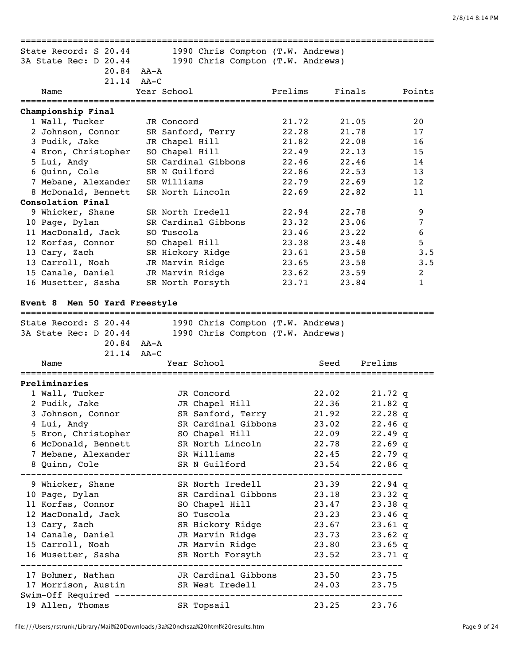| State Record: S 20.44         | 1990 Chris Compton (T.W. Andrews) |         |                 |                |
|-------------------------------|-----------------------------------|---------|-----------------|----------------|
| 3A State Rec: D 20.44         | 1990 Chris Compton (T.W. Andrews) |         |                 |                |
|                               | $20.84$ AA-A                      |         |                 |                |
|                               | 21.14 AA-C                        |         |                 |                |
| Name                          | Year School                       | Prelims | Finals          | Points         |
| Championship Final            |                                   |         |                 |                |
| 1 Wall, Tucker                | JR Concord                        | 21.72   | 21.05           | 20             |
| 2 Johnson, Connor             | SR Sanford, Terry                 | 22.28   | 21.78           | 17             |
| 3 Pudik, Jake                 | JR Chapel Hill                    | 21.82   | 22.08           | 16             |
| 4 Eron, Christopher           | SO Chapel Hill                    | 22.49   | 22.13           | 15             |
| 5 Lui, Andy                   | SR Cardinal Gibbons               | 22.46   | 22.46           | 14             |
|                               |                                   |         |                 |                |
| 6 Quinn, Cole                 | SR N Guilford                     | 22.86   | 22.53           | 13             |
| 7 Mebane, Alexander           | SR Williams                       | 22.79   | 22.69           | 12             |
| 8 McDonald, Bennett           | SR North Lincoln                  | 22.69   | 22.82           | 11             |
| Consolation Final             |                                   |         |                 |                |
| 9 Whicker, Shane              | SR North Iredell                  | 22.94   | 22.78           | 9              |
| 10 Page, Dylan                | SR Cardinal Gibbons               | 23.32   | 23.06           | 7              |
| 11 MacDonald, Jack            | SO Tuscola                        | 23.46   | 23.22           | 6              |
| 12 Korfas, Connor             | SO Chapel Hill                    | 23.38   | 23.48           | 5              |
| 13 Cary, Zach                 | SR Hickory Ridge                  | 23.61   | 23.58           | 3.5            |
| 13 Carroll, Noah              | JR Marvin Ridge                   | 23.65   | 23.58           | 3.5            |
| 15 Canale, Daniel             | JR Marvin Ridge                   | 23.62   | 23.59           | $\overline{2}$ |
| 16 Musetter, Sasha            | SR North Forsyth                  | 23.71   | 23.84           | $\mathbf{1}$   |
| Event 8 Men 50 Yard Freestyle |                                   |         |                 |                |
|                               |                                   |         |                 |                |
| State Record: S 20.44         | 1990 Chris Compton (T.W. Andrews) |         |                 |                |
| 3A State Rec: D 20.44         | 1990 Chris Compton (T.W. Andrews) |         |                 |                |
|                               | 20.84 AA-A                        |         |                 |                |
|                               | $21.14$ $AA-C$                    |         |                 |                |
| Name                          | Year School                       |         | Prelims<br>Seed |                |
|                               |                                   |         |                 |                |
| Preliminaries                 |                                   |         |                 |                |
| 1 Wall, Tucker                | JR Concord                        |         | 22.02           | $21.72$ q      |
| 2 Pudik, Jake                 | JR Chapel Hill                    |         | 22.36           | $21.82$ q      |
| 3 Johnson, Connor             | SR Sanford, Terry                 |         | 21.92           | $22.28$ q      |
| 4 Lui, Andy                   | SR Cardinal Gibbons               |         | 23.02           | $22.46$ q      |
| 5 Eron, Christopher           | SO Chapel Hill                    |         | 22.09           | $22.49$ q      |
| 6 McDonald, Bennett           | SR North Lincoln                  |         | 22.78           | $22.69$ q      |
| 7 Mebane, Alexander           | SR Williams                       |         | 22.45           | 22.79 q        |
| 8 Quinn, Cole                 | SR N Guilford                     |         | 23.54           | $22.86$ q      |
|                               |                                   |         |                 |                |
| 9 Whicker, Shane              | SR North Iredell                  |         | 23.39           | 22.94 q        |
| 10 Page, Dylan                | SR Cardinal Gibbons               |         | 23.18           | $23.32$ q      |
| 11 Korfas, Connor             | SO Chapel Hill                    |         | 23.47           | $23.38$ q      |
| 12 MacDonald, Jack            | SO Tuscola                        |         | 23.23           | $23.46$ q      |
| 13 Cary, Zach                 | SR Hickory Ridge                  |         | 23.67           | $23.61$ q      |
| 14 Canale, Daniel             | JR Marvin Ridge                   |         | 23.73           | $23.62$ q      |
| 15 Carroll, Noah              | JR Marvin Ridge                   |         | 23.80           | $23.65$ q      |
| 16 Musetter, Sasha            | SR North Forsyth                  |         | 23.52           | $23.71$ q      |
|                               |                                   |         |                 |                |
| 17 Bohmer, Nathan             | JR Cardinal Gibbons 23.50         |         |                 | 23.75          |
| 17 Morrison, Austin           | SR West Iredell                   |         | 24.03           | 23.75          |
|                               |                                   |         |                 |                |
| 19 Allen, Thomas              | SR Topsail                        |         | 23.25           | 23.76          |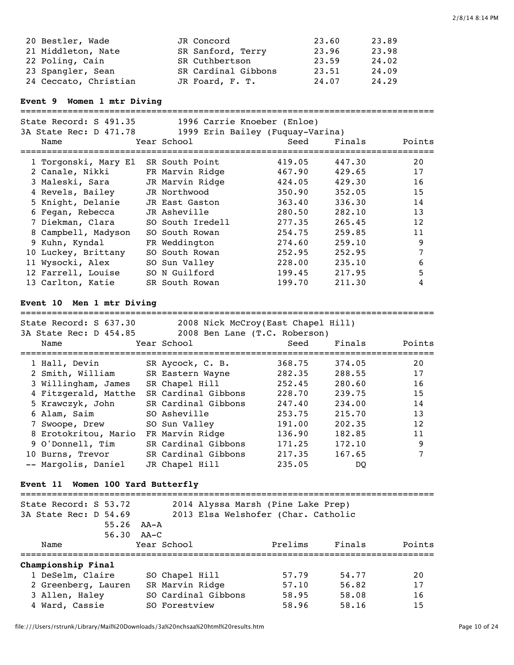| 20 Bestler, Wade      | JR Concord          | 23.60 | 23.89 |
|-----------------------|---------------------|-------|-------|
| 21 Middleton, Nate    | SR Sanford, Terry   | 23.96 | 23.98 |
| 22 Poling, Cain       | SR Cuthbertson      | 23.59 | 24.02 |
| 23 Spangler, Sean     | SR Cardinal Gibbons | 23.51 | 24.09 |
| 24 Ceccato, Christian | JR Foard, F. T.     | 24.07 | 24.29 |

**Event 9 Women 1 mtr Diving**

| State Record: S 491.35<br>3A State Rec: D 471.78<br>Name | 1996 Carrie Knoeber (Enloe)<br>1999 Erin Bailey (Fuquay-Varina)<br>Year School | Seed   | Finals | Points |
|----------------------------------------------------------|--------------------------------------------------------------------------------|--------|--------|--------|
| 1 Torgonski, Mary El                                     | SR South Point                                                                 | 419.05 | 447.30 | 20     |
| 2 Canale, Nikki                                          | FR Marvin Ridge                                                                | 467.90 | 429.65 | 17     |
| 3 Maleski, Sara                                          | JR Marvin Ridge                                                                | 424.05 | 429.30 | 16     |
| 4 Revels, Bailey                                         | JR Northwood                                                                   | 350.90 | 352.05 | 15     |
| 5 Knight, Delanie                                        | JR East Gaston                                                                 | 363.40 | 336.30 | 14     |
| 6 Fegan, Rebecca                                         | JR Asheville                                                                   | 280.50 | 282.10 | 13     |
| 7 Diekman, Clara                                         | SO South Iredell                                                               | 277.35 | 265.45 | 12     |
| 8 Campbell, Madyson                                      | SO South Rowan                                                                 | 254.75 | 259.85 | 11     |
| 9 Kuhn, Kyndal                                           | FR Weddington                                                                  | 274.60 | 259.10 | 9      |
| 10 Luckey, Brittany                                      | SO South Rowan                                                                 | 252.95 | 252.95 |        |
| 11 Wysocki, Alex                                         | SO Sun Valley                                                                  | 228.00 | 235.10 | 6      |
| 12 Farrell, Louise                                       | SO N Guilford                                                                  | 199.45 | 217.95 | 5      |
| 13 Carlton, Katie                                        | SR South Rowan                                                                 | 199.70 | 211.30 | 4      |

===============================================================================

# **Event 10 Men 1 mtr Diving**

| State Record: S 637.30<br>3A State Rec: D 454.85 |                     | 2008 Nick McCroy(East Chapel Hill)<br>2008 Ben Lane (T.C. Roberson) |        |        |
|--------------------------------------------------|---------------------|---------------------------------------------------------------------|--------|--------|
| Name                                             | Year School         | Seed                                                                | Finals | Points |
|                                                  |                     |                                                                     |        |        |
| 1 Hall, Devin                                    | SR Aycock, C. B.    | 368.75                                                              | 374.05 | 20     |
| 2 Smith, William                                 | SR Eastern Wayne    | 282.35                                                              | 288.55 | 17     |
| 3 Willingham, James                              | SR Chapel Hill      | 252.45                                                              | 280.60 | 16     |
| 4 Fitzgerald, Matthe                             | SR Cardinal Gibbons | 228.70                                                              | 239.75 | 15     |
| 5 Krawczyk, John                                 | SR Cardinal Gibbons | 247.40                                                              | 234.00 | 14     |
| 6 Alam, Saim                                     | SO Asheville        | 253.75                                                              | 215.70 | 13     |
| 7 Swoope, Drew                                   | SO Sun Valley       | 191.00                                                              | 202.35 | 12     |
| 8 Erotokritou, Mario                             | FR Marvin Ridge     | 136.90                                                              | 182.85 | 11     |
| 9 O'Donnell, Tim                                 | SR Cardinal Gibbons | 171.25                                                              | 172.10 | 9      |
| 10 Burns, Trevor                                 | SR Cardinal Gibbons | 217.35                                                              | 167.65 | 7      |
| -- Margolis, Daniel                              | JR Chapel Hill      | 235.05                                                              | DO     |        |

# **Event 11 Women 100 Yard Butterfly**

| State Record: S 53.72 |       |                 |                     | 2014 Alyssa Marsh (Pine Lake Prep)  |        |        |
|-----------------------|-------|-----------------|---------------------|-------------------------------------|--------|--------|
| 3A State Rec: D 54.69 |       |                 |                     | 2013 Elsa Welshofer (Char. Catholic |        |        |
|                       | 55.26 | AA-A            |                     |                                     |        |        |
|                       |       | $56.30$ $AA-C$  |                     |                                     |        |        |
| Name                  |       | Year School     |                     | Prelims                             | Finals | Points |
| Championship Final    |       |                 |                     |                                     |        |        |
| 1 DeSelm, Claire      |       | SO Chapel Hill  |                     | 57.79                               | 54.77  | 20     |
| 2 Greenberg, Lauren   |       | SR Marvin Ridge |                     | 57.10                               | 56.82  | 17     |
| 3 Allen, Haley        |       |                 | SO Cardinal Gibbons | 58.95                               | 58.08  | 16     |
| 4 Ward, Cassie        |       | SO Forestview   |                     | 58.96                               | 58.16  | 15     |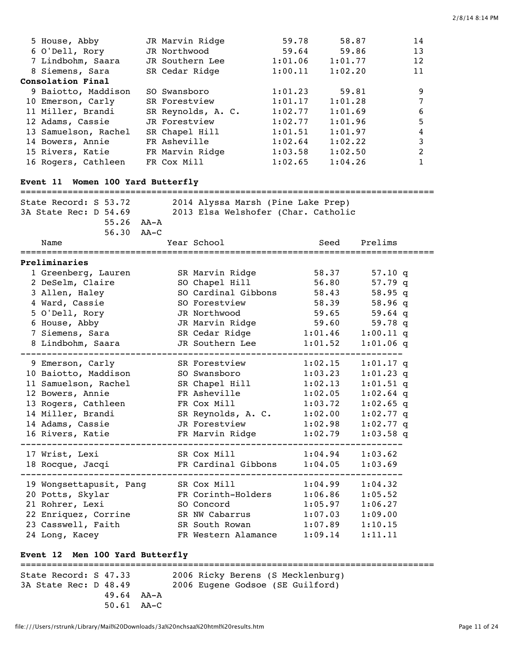| 5 House, Abby                            | JR Marvin Ridge                   | 59.78                               | 58.87                      | 14             |
|------------------------------------------|-----------------------------------|-------------------------------------|----------------------------|----------------|
| 6 O'Dell, Rory                           | JR Northwood                      | 59.64                               | 59.86                      | 13             |
| 7 Lindbohm, Saara                        | JR Southern Lee                   | 1:01.06                             | 1:01.77                    | 12             |
| 8 Siemens, Sara                          | SR Cedar Ridge                    | 1:00.11                             | 1:02.20                    | 11             |
| Consolation Final                        |                                   |                                     |                            |                |
| 9 Baiotto, Maddison                      | SO Swansboro                      | 1:01.23                             | 59.81                      | 9              |
| 10 Emerson, Carly                        | SR Forestview                     | 1:01.17                             | 1:01.28                    | 7              |
| 11 Miller, Brandi                        | SR Reynolds, A. C.                | 1:02.77                             | 1:01.69                    | 6              |
| 12 Adams, Cassie                         | JR Forestview<br>SR Chapel Hill   | 1:02.77<br>1:01.51                  | 1:01.96<br>1:01.97         | 5<br>4         |
| 13 Samuelson, Rachel<br>14 Bowers, Annie | FR Asheville                      | 1:02.64                             | 1:02.22                    | 3              |
| 15 Rivers, Katie                         | FR Marvin Ridge                   | 1:03.58                             | 1:02.50                    | $\overline{c}$ |
| 16 Rogers, Cathleen                      | FR Cox Mill                       | 1:02.65                             | 1:04.26                    | $\mathbf{1}$   |
|                                          |                                   |                                     |                            |                |
| Event 11 Women 100 Yard Butterfly        |                                   |                                     |                            |                |
| State Record: S 53.72                    |                                   | 2014 Alyssa Marsh (Pine Lake Prep)  |                            |                |
| 3A State Rec: D 54.69                    |                                   | 2013 Elsa Welshofer (Char. Catholic |                            |                |
| 55.26 AA-A                               |                                   |                                     |                            |                |
| 56.30                                    | AA–C                              |                                     |                            |                |
| Name                                     | Year School                       | Seed                                | Prelims                    |                |
|                                          |                                   |                                     |                            |                |
| Preliminaries                            |                                   |                                     |                            |                |
| 1 Greenberg, Lauren                      | SR Marvin Ridge                   | 58.37                               | $57.10$ q                  |                |
| 2 DeSelm, Claire                         | SO Chapel Hill                    | 56.80                               | $57.79$ q                  |                |
| 3 Allen, Haley                           | SO Cardinal Gibbons               | 58.43                               | 58.95q                     |                |
| 4 Ward, Cassie                           | SO Forestview                     | 58.39                               | 58.96q                     |                |
| 5 O'Dell, Rory                           | JR Northwood                      | 59.65                               | 59.64 $q$                  |                |
| 6 House, Abby                            | JR Marvin Ridge                   | 59.60                               | 59.78 q                    |                |
| 7 Siemens, Sara<br>8 Lindbohm, Saara     | SR Cedar Ridge<br>JR Southern Lee | 1:01.46<br>1:01.52                  | $1:00.11$ q<br>$1:01.06$ q |                |
|                                          |                                   |                                     |                            |                |
| 9 Emerson, Carly                         | SR Forestview                     | 1:02.15                             | $1:01.17$ q                |                |
| 10 Baiotto, Maddison                     | SO Swansboro                      | 1:03.23                             | $1:01.23$ q                |                |
| 11 Samuelson, Rachel                     | SR Chapel Hill                    | 1:02.13                             | $1:01.51$ q                |                |
| 12 Bowers, Annie                         | FR Asheville                      | 1:02.05                             | $1:02.64$ q                |                |
| 13 Rogers, Cathleen                      | FR Cox Mill                       | 1:03.72                             | $1:02.65$ q                |                |
| 14 Miller, Brandi                        | SR Reynolds, A. C.                | 1:02.00                             | $1:02.77$ q                |                |
| 14 Adams, Cassie                         | JR Forestview                     | 1:02.98                             | $1:02.77$ q                |                |
| 16 Rivers, Katie<br>---------------      | FR Marvin Ridge                   | 1:02.79                             | $1:03.58$ q                |                |
| 17 Wrist, Lexi                           | SR Cox Mill                       | $1\colon$ 04.94                     | 1:03.62                    |                |
| 18 Rocque, Jacqi                         | FR Cardinal Gibbons 1:04.05       |                                     | 1:03.69                    |                |
| 19 Wongsettapusit, Pang SR Cox Mill      |                                   | 1:04.99                             | 1:04.32                    |                |
| 20 Potts, Skylar                         | FR Corinth-Holders                | 1:06.86                             | 1:05.52                    |                |
| 21 Rohrer, Lexi                          | SO Concord                        | 1:05.97                             | 1:06.27                    |                |
| 22 Enriquez, Corrine                     | SR NW Cabarrus                    | 1:07.03                             | 1:09.00                    |                |
| 23 Casswell, Faith                       | SR South Rowan                    | 1:07.89                             | 1:10.15                    |                |
| 24 Long, Kacey                           | FR Western Alamance               | 1:09.14                             | 1:11.11                    |                |
|                                          |                                   |                                     |                            |                |
| Event 12 Men 100 Yard Butterfly          |                                   |                                     |                            |                |
|                                          |                                   |                                     |                            |                |
| State Record: S 47.33                    | 2006 Ricky Berens (S Mecklenburg) |                                     |                            |                |
| 3A State Rec: D 48.49                    |                                   | 2006 Eugene Godsoe (SE Guilford)    |                            |                |

 49.64 AA-A 50.61 AA-C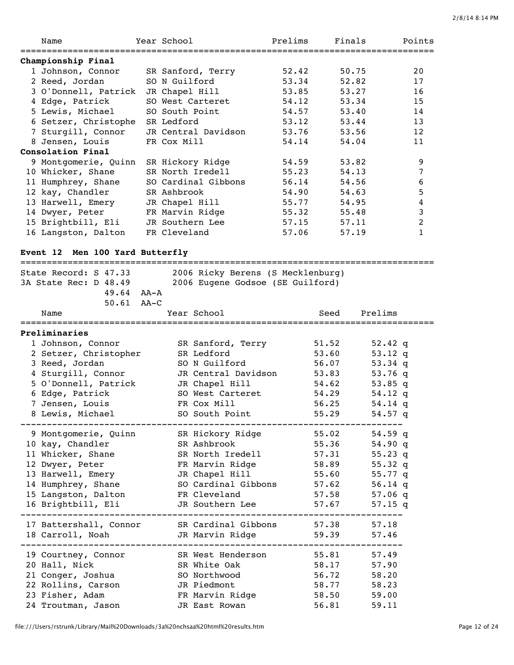| Name                                                                      |        | Year School   |                                   | Prelims |       | Finals      |           | Points |
|---------------------------------------------------------------------------|--------|---------------|-----------------------------------|---------|-------|-------------|-----------|--------|
| Championship Final                                                        |        |               |                                   |         |       |             |           |        |
| 1 Johnson, Connor                                                         |        |               | SR Sanford, Terry                 | 52.42   |       | 50.75       |           | 20     |
| 2 Reed, Jordan                                                            |        | SO N Guilford |                                   | 53.34   |       | 52.82       |           | 17     |
| 3 O'Donnell, Patrick                                                      |        |               | JR Chapel Hill                    | 53.85   |       | 53.27       |           | 16     |
| 4 Edge, Patrick                                                           |        |               | SO West Carteret                  | 54.12   |       | 53.34       |           | 15     |
| 5 Lewis, Michael                                                          |        |               | SO South Point                    | 54.57   |       | 53.40       |           | 14     |
| 6 Setzer, Christophe                                                      |        | SR Ledford    |                                   | 53.12   |       | 53.44       |           | 13     |
| 7 Sturgill, Connor                                                        |        |               | JR Central Davidson               | 53.76   |       | 53.56       |           | 12     |
| 8 Jensen, Louis                                                           |        | FR Cox Mill   |                                   | 54.14   |       | 54.04       |           | 11     |
| Consolation Final                                                         |        |               |                                   |         |       |             |           |        |
|                                                                           |        |               |                                   |         |       |             |           |        |
| 9 Montgomerie, Quinn                                                      |        |               | SR Hickory Ridge                  | 54.59   |       | 53.82       |           | 9      |
| 10 Whicker, Shane                                                         |        |               | SR North Iredell                  | 55.23   |       | 54.13       |           | 7      |
| 11 Humphrey, Shane                                                        |        |               | SO Cardinal Gibbons               | 56.14   |       | 54.56       |           | 6      |
| 12 kay, Chandler                                                          |        | SR Ashbrook   |                                   | 54.90   |       | 54.63       |           | 5      |
| 13 Harwell, Emery                                                         |        |               | JR Chapel Hill                    | 55.77   |       | 54.95       |           | 4      |
| 14 Dwyer, Peter                                                           |        |               | FR Marvin Ridge                   | 55.32   |       | 55.48       |           | 3      |
| 15 Brightbill, Eli                                                        |        |               | JR Southern Lee                   | 57.15   |       | 57.11       |           | 2      |
| 16 Langston, Dalton                                                       |        | FR Cleveland  |                                   | 57.06   |       | 57.19       |           | 1      |
|                                                                           |        |               |                                   |         |       |             |           |        |
| Event 12 Men 100 Yard Butterfly                                           |        |               |                                   |         |       |             |           |        |
| State Record: S 47.33                                                     |        |               | 2006 Ricky Berens (S Mecklenburg) |         |       |             |           |        |
|                                                                           |        |               |                                   |         |       |             |           |        |
| 3A State Rec: D 48.49                                                     |        |               | 2006 Eugene Godsoe (SE Guilford)  |         |       |             |           |        |
| $49.64$ $AA - A$                                                          |        |               |                                   |         |       |             |           |        |
| 50.61                                                                     | $AA-C$ |               |                                   |         |       |             |           |        |
| Name                                                                      |        |               | Year School                       |         | Seed  | Prelims     |           |        |
| Preliminaries                                                             |        |               |                                   |         |       |             |           |        |
| 1 Johnson, Connor                                                         |        |               | SR Sanford, Terry                 |         | 51.52 |             | 52.42 q   |        |
| 2 Setzer, Christopher                                                     |        |               | SR Ledford                        |         | 53.60 |             | 53.12 q   |        |
| 3 Reed, Jordan                                                            |        |               | SO N Guilford                     |         | 56.07 |             | 53.34 $q$ |        |
|                                                                           |        |               | JR Central Davidson               |         |       |             |           |        |
| 4 Sturgill, Connor                                                        |        |               |                                   |         | 53.83 |             | 53.76 q   |        |
| 5 O'Donnell, Patrick                                                      |        |               | JR Chapel Hill                    |         | 54.62 |             | 53.85 q   |        |
| 6 Edge, Patrick                                                           |        |               | SO West Carteret                  |         | 54.29 |             | 54.12 q   |        |
| 7 Jensen, Louis                                                           |        |               | FR Cox Mill                       |         | 56.25 |             | 54.14 q   |        |
| 8 Lewis, Michael                                                          |        |               | SO South Point                    |         | 55.29 |             | 54.57 q   |        |
|                                                                           |        |               |                                   |         |       |             |           |        |
| 9 Montgomerie, Quinn SR Hickory Ridge                                     |        |               |                                   |         | 55.02 |             | 54.59 q   |        |
| 10 kay, Chandler                                                          |        |               | SR Ashbrook                       |         | 55.36 |             | $54.90$ q |        |
| 11 Whicker, Shane                                                         |        |               | SR North Iredell                  |         | 57.31 |             | $55.23$ q |        |
| 12 Dwyer, Peter                                                           |        |               | FR Marvin Ridge                   |         | 58.89 |             | $55.32$ q |        |
| 13 Harwell, Emery                                                         |        |               | JR Chapel Hill                    |         | 55.60 |             | 55.77 q   |        |
| 14 Humphrey, Shane                                                        |        |               | SO Cardinal Gibbons               |         | 57.62 |             | 56.14 q   |        |
| 15 Langston, Dalton                                                       |        |               | FR Cleveland                      |         | 57.58 |             | 57.06 $q$ |        |
| 16 Brightbill, Eli                                                        |        |               | JR Southern Lee                   |         | 57.67 |             | $57.15$ q |        |
|                                                                           |        |               |                                   |         |       |             |           |        |
| 17 Battershall, Connor SR Cardinal Gibbons 57.38 57.18                    |        |               |                                   |         |       |             |           |        |
| 18 Carroll, Noah                    JR Marvin Ridge                 59.39 |        |               |                                   |         |       | 57.46       |           |        |
| 19 Courtney, Connor                                                       |        |               | SR West Henderson                 |         |       | 55.81 57.49 |           |        |
| 20 Hall, Nick                                                             |        |               | SR White Oak 58.17                |         |       | 57.90       |           |        |
| 21 Conger, Joshua                                                         |        |               | SO Northwood                      |         | 56.72 | 58.20       |           |        |
|                                                                           |        |               | JR Piedmont                       |         |       |             |           |        |
| 22 Rollins, Carson                                                        |        |               |                                   |         | 58.77 | 58.23       |           |        |
| 23 Fisher, Adam                                                           |        |               | FR Marvin Ridge                   |         | 58.50 | 59.00       |           |        |

24 Troutman, Jason JR East Rowan 56.81 59.11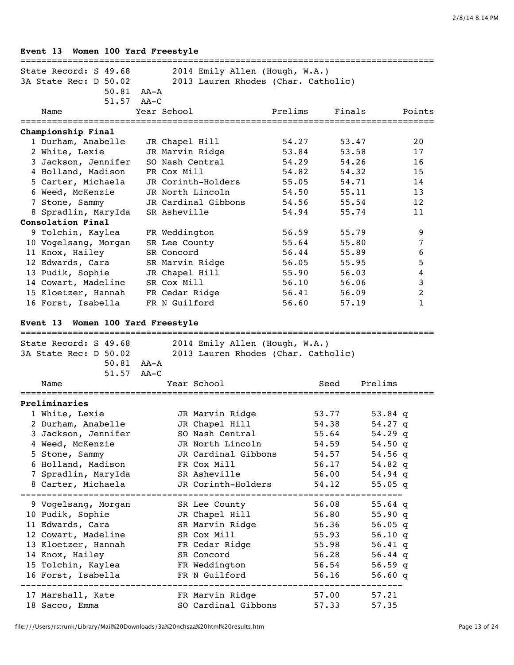|  |  |  |  |  | Event 13 Women 100 Yard Freestyle |
|--|--|--|--|--|-----------------------------------|
|--|--|--|--|--|-----------------------------------|

| State Record: S 49.68                     | 2014 Emily Allen (Hough, W.A.)                            |                |                 |                  |
|-------------------------------------------|-----------------------------------------------------------|----------------|-----------------|------------------|
| 3A State Rec: D 50.02                     | 2013 Lauren Rhodes (Char. Catholic)                       |                |                 |                  |
|                                           | 50.81 AA-A                                                |                |                 |                  |
| 51.57                                     | $AA-C$                                                    |                |                 |                  |
| Name                                      | Year School                                               | Prelims        | Finals          | Points           |
|                                           |                                                           |                |                 |                  |
| Championship Final                        |                                                           |                |                 |                  |
| 1 Durham, Anabelle                        | JR Chapel Hill<br>JR Marvin Ridge                         | 54.27          | 53.47<br>53.58  | 20               |
| 2 White, Lexie                            | SO Nash Central                                           | 53.84<br>54.29 | 54.26           | 17<br>16         |
| 3 Jackson, Jennifer<br>4 Holland, Madison | FR Cox Mill                                               | 54.82          | 54.32           | 15               |
| 5 Carter, Michaela                        | JR Corinth-Holders                                        | 55.05          | 54.71           | 14               |
| 6 Weed, McKenzie                          | JR North Lincoln                                          | 54.50          | 55.11           | 13               |
| 7 Stone, Sammy                            | JR Cardinal Gibbons                                       | 54.56          | 55.54           | 12               |
| 8 Spradlin, MaryIda                       | SR Asheville                                              | 54.94          | 55.74           | 11               |
| Consolation Final                         |                                                           |                |                 |                  |
| 9 Tolchin, Kaylea                         | FR Weddington                                             | 56.59          | 55.79           | 9                |
| 10 Vogelsang, Morgan                      | SR Lee County                                             | 55.64          | 55.80           | 7                |
| 11 Knox, Hailey                           | SR Concord                                                | 56.44          | 55.89           | $\boldsymbol{6}$ |
| 12 Edwards, Cara                          | SR Marvin Ridge                                           | 56.05          | 55.95           | 5                |
| 13 Pudik, Sophie                          | JR Chapel Hill                                            | 55.90          | 56.03           | $\overline{4}$   |
| 14 Cowart, Madeline                       | SR Cox Mill                                               | 56.10          | 56.06           | $\mathfrak{Z}$   |
| 15 Kloetzer, Hannah                       | FR Cedar Ridge                                            | 56.41          | 56.09           | $\overline{c}$   |
| 16 Forst, Isabella                        | FR N Guilford                                             | 56.60          | 57.19           | $\mathbf{1}$     |
|                                           |                                                           |                |                 |                  |
| Event 13 Women 100 Yard Freestyle         |                                                           |                |                 |                  |
|                                           |                                                           |                |                 |                  |
|                                           | State Record: S 49.68 2014 Emily Allen (Hough, W.A.)      |                |                 |                  |
|                                           | 3A State Rec: D 50.02 2013 Lauren Rhodes (Char. Catholic) |                |                 |                  |
|                                           | 50.81 AA-A                                                |                |                 |                  |
|                                           | 51.57 AA-C                                                |                |                 |                  |
| Name                                      | Year School                                               |                | Seed<br>Prelims |                  |
|                                           |                                                           |                |                 |                  |
| Preliminaries                             |                                                           |                |                 |                  |
| 1 White, Lexie                            | JR Marvin Ridge                                           |                | 53.77           | 53.84 q          |
| 2 Durham, Anabelle                        | JR Chapel Hill                                            |                | 54.38           | $54.27$ q        |
| 3 Jackson, Jennifer                       | SO Nash Central                                           |                | 55.64           | 54.29 q          |
| 4 Weed, McKenzie                          | JR North Lincoln                                          |                | 54.59           | $54.50$ q        |
| 5 Stone, Sammy                            | JR Cardinal Gibbons                                       |                | 54.57           | 54.56 q          |
| 6 Holland, Madison                        | FR Cox Mill                                               |                | 56.17           | 54.82 $q$        |
| 7 Spradlin, MaryIda                       | SR Asheville                                              |                | 56.00           | $54.94$ q        |
| 8 Carter, Michaela                        | JR Corinth-Holders                                        |                | 54.12           | $55.05$ q        |
| 9 Vogelsang, Morgan                       | SR Lee County                                             |                | 56.08           | $55.64$ q        |
| 10 Pudik, Sophie                          | JR Chapel Hill                                            |                | 56.80           | 55.90q           |
| 11 Edwards, Cara                          | SR Marvin Ridge                                           |                | 56.36           | 56.05 $q$        |
| 12 Cowart, Madeline                       | SR Cox Mill                                               |                | 55.93           | 56.10 $q$        |
| 13 Kloetzer, Hannah                       | FR Cedar Ridge                                            |                | 55.98           | 56.41 $q$        |
| 14 Knox, Hailey                           | SR Concord                                                |                | 56.28           | 56.44 $q$        |
| 15 Tolchin, Kaylea                        | FR Weddington                                             |                | 56.54           | 56.59 $q$        |
| 16 Forst, Isabella                        | FR N Guilford                                             |                | 56.16           | 56.60q           |
|                                           |                                                           |                |                 |                  |
| 17 Marshall, Kate                         | FR Marvin Ridge                                           |                | 57.00           | 57.21            |
| 18 Sacco, Emma                            | SO Cardinal Gibbons                                       |                | 57.33           | 57.35            |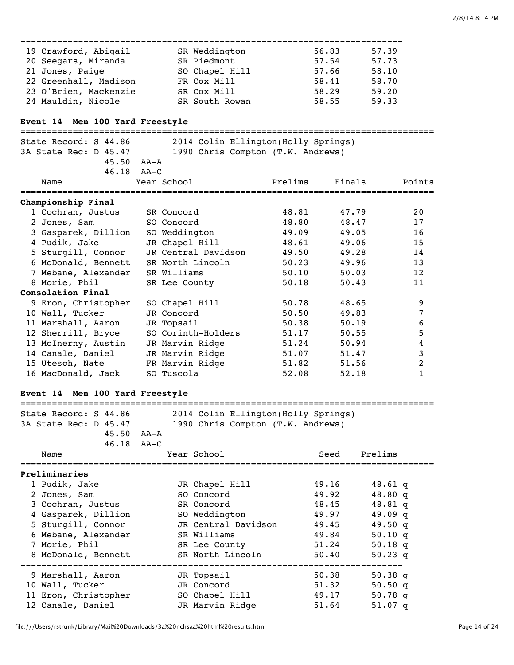| 19 Crawford, Abigail  | SR Weddington  | 56.83 | 57.39 |
|-----------------------|----------------|-------|-------|
| 20 Seegars, Miranda   | SR Piedmont    | 57.54 | 57.73 |
| 21 Jones, Paige       | SO Chapel Hill | 57.66 | 58.10 |
| 22 Greenhall, Madison | FR Cox Mill    | 58.41 | 58.70 |
| 23 O'Brien, Mackenzie | SR Cox Mill    | 58.29 | 59.20 |
| 24 Mauldin, Nicole    | SR South Rowan | 58.55 | 59.33 |

# **Event 14 Men 100 Yard Freestyle**

| State Record: S 44.86        | 2014 Colin Ellington(Holly Springs) |         |        |        |
|------------------------------|-------------------------------------|---------|--------|--------|
| 3A State Rec: D 45.47        | 1990 Chris Compton (T.W. Andrews)   |         |        |        |
|                              | $45.50$ $AA - A$                    |         |        |        |
|                              | $46.18$ $AA-C$                      |         |        |        |
| Name                         | Year School                         | Prelims | Finals | Points |
| Championship Final           |                                     |         |        |        |
| 1 Cochran, Justus SR Concord |                                     | 48.81   | 47.79  | 2.0    |
| 2 Jones, Sam                 | SO Concord                          | 48.80   | 48.47  | 17     |
| 3 Gasparek, Dillion          | SO Weddington                       | 49.09   | 49.05  | 16     |
| 4 Pudik, Jake                | JR Chapel Hill                      | 48.61   | 49.06  | 15     |
| 5 Sturgill, Connor           | JR Central Davidson                 | 49.50   | 49.28  | 14     |
| 6 McDonald, Bennett          | SR North Lincoln                    | 50.23   | 49.96  | 13     |
| 7 Mebane, Alexander          | SR Williams                         | 50.10   | 50.03  | 12     |
| 8 Morie, Phil                | SR Lee County                       | 50.18   | 50.43  | 11     |
| Consolation Final            |                                     |         |        |        |
| 9 Eron, Christopher          | SO Chapel Hill                      | 50.78   | 48.65  | 9      |
| 10 Wall, Tucker              | JR Concord                          | 50.50   | 49.83  | 7      |
| 11 Marshall, Aaron           | JR Topsail                          | 50.38   | 50.19  | 6      |
| 12 Sherrill, Bryce           | SO Corinth-Holders                  | 51.17   | 50.55  | 5      |
| 13 McInerny, Austin          | JR Marvin Ridge                     | 51.24   | 50.94  | 4      |
| 14 Canale, Daniel            | JR Marvin Ridge                     | 51.07   | 51.47  | 3      |
| 15 Utesch, Nate              | FR Marvin Ridge                     | 51.82   | 51.56  | 2      |
| 16 MacDonald, Jack           | SO Tuscola                          | 52.08   | 52.18  | 1      |

# **Event 14 Men 100 Yard Freestyle**

| ___                           | _____                       |
|-------------------------------|-----------------------------|
| State<br>44<br>-86<br>Record: | Ellinaton/Holly<br>$n$ ndin |

|                   | 3A State Rec: D 45.47 | 1990 Chris Compton (T.W. Andrews) |       |                    |
|-------------------|-----------------------|-----------------------------------|-------|--------------------|
|                   | $45.50$ $AA - A$      |                                   |       |                    |
|                   | $46.18$ $AA-C$        |                                   |       |                    |
| Name              |                       | Year School                       | Seed  | Prelims            |
| Preliminaries     |                       |                                   |       |                    |
| 1 Pudik, Jake     |                       | JR Chapel Hill                    | 49.16 | $48.61$ q          |
| 2 Jones, Sam      |                       | SO Concord                        | 49.92 | 48.80q             |
|                   | 3 Cochran, Justus     | SR Concord                        | 48.45 | $48.81$ q          |
|                   | 4 Gasparek, Dillion   | SO Weddington                     | 49.97 | 49.09 <sub>q</sub> |
|                   | 5 Sturgill, Connor    | JR Central Davidson               | 49.45 | 49.50q             |
|                   | 6 Mebane, Alexander   | SR Williams                       | 49.84 | 50.10 q            |
| 7 Morie, Phil     |                       | SR Lee County                     | 51.24 | $50.18$ q          |
|                   | 8 McDonald, Bennett   | SR North Lincoln                  | 50.40 | $50.23$ q          |
|                   | 9 Marshall, Aaron     | JR Topsail                        | 50.38 | 50.38 <sub>q</sub> |
| 10 Wall, Tucker   |                       | JR Concord                        | 51.32 | 50.50 $q$          |
|                   | 11 Eron, Christopher  | SO Chapel Hill                    | 49.17 | 50.78 $q$          |
| 12 Canale, Daniel |                       | JR Marvin Ridge                   | 51.64 | 51.07 <sub>q</sub> |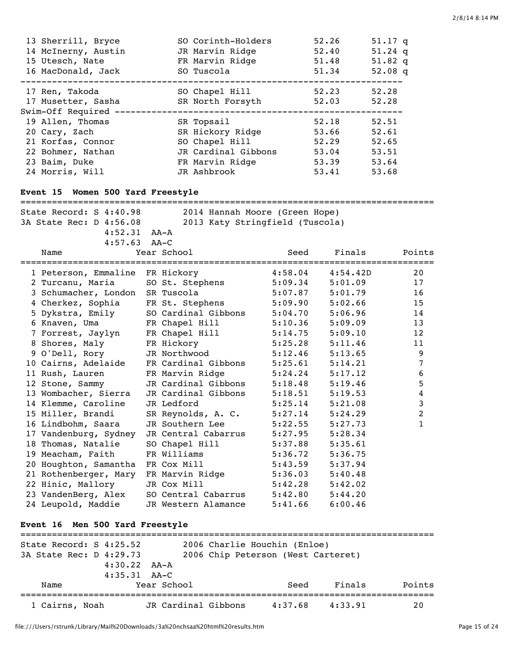| 13 Sherrill, Bryce<br>14 McInerny, Austin<br>15 Utesch, Nate<br>16 MacDonald, Jack                              | SO Corinth-Holders<br>JR Marvin Ridge<br>FR Marvin Ridge<br>SO Tuscola                                    |                    | 52.26<br>52.40<br>51.48<br>51.34                                              | $51.17$ q<br>$51.24$ q<br>51.82 $q$<br>52.08 $q$ |  |
|-----------------------------------------------------------------------------------------------------------------|-----------------------------------------------------------------------------------------------------------|--------------------|-------------------------------------------------------------------------------|--------------------------------------------------|--|
| 17 Ren, Takoda<br>17 Musetter, Sasha<br>Swim-Off Required ------------------                                    | SO Chapel Hill<br>SR North Forsyth                                                                        |                    | --------------------------<br>52.23<br>52.03<br>----------------------------- | 52.28<br>52.28                                   |  |
| 19 Allen, Thomas<br>20 Cary, Zach<br>21 Korfas, Connor<br>22 Bohmer, Nathan<br>23 Baim, Duke<br>24 Morris, Will | SR Topsail<br>SR Hickory Ridge<br>SO Chapel Hill<br>JR Cardinal Gibbons<br>FR Marvin Ridge<br>JR Ashbrook |                    | 52.18<br>53.66 52.61<br>52.29<br>53.04 53.51<br>53.39 53.64<br>53.41 53.68    | 52.51<br>52.65                                   |  |
| Event 15 Women 500 Yard Freestyle                                                                               |                                                                                                           |                    |                                                                               |                                                  |  |
| State Record: S 4:40.98<br>$4:52.31$ $AA-A$<br>$4:57.63$ AA-C<br>Name                                           | 2014 Hannah Moore (Green Hope)<br>3A State Rec: D 4:56.08 2013 Katy Stringfield (Tuscola)<br>Year School  | Seed               | Finals                                                                        | Points                                           |  |
| 1 Peterson, Emmaline FR Hickory                                                                                 |                                                                                                           | 4:58.04            | 4:54.42D                                                                      | 20                                               |  |
| 2 Turcanu, Maria                                                                                                | SO St. Stephens                                                                                           | 5:09.34            | 5:01.09                                                                       | 17                                               |  |
| 3 Schumacher, London SR Tuscola                                                                                 |                                                                                                           | 5:07.87            | 5:01.79                                                                       | 16                                               |  |
| 4 Cherkez, Sophia FR St. Stephens                                                                               |                                                                                                           | 5:09.90            | 5:02.66                                                                       | 15                                               |  |
| 5 Dykstra, Emily                                                                                                | SO Cardinal Gibbons                                                                                       | 5:04.70            | 5:06.96                                                                       | 14                                               |  |
| 6 Knaven, Uma                                                                                                   | FR Chapel Hill                                                                                            | 5:10.36            | 5:09.09                                                                       | 13                                               |  |
| 7 Forrest, Jaylyn                                                                                               | FR Chapel Hill                                                                                            | 5:14.75            | 5:09.10                                                                       | 12                                               |  |
| 8 Shores, Maly                                                                                                  | FR Hickory                                                                                                | 5:25.28            | 5:11.46                                                                       | 11                                               |  |
| 9 O'Dell, Rory                                                                                                  | JR Northwood                                                                                              | 5:12.46            | 5:13.65                                                                       | 9                                                |  |
| 10 Cairns, Adelaide                                                                                             | FR Cardinal Gibbons                                                                                       | 5:25.61            | 5:14.21                                                                       | 7                                                |  |
| 11 Rush, Lauren                                                                                                 | FR Marvin Ridge                                                                                           | 5:24.24            | 5:17.12                                                                       | 6                                                |  |
| 12 Stone, Sammy                                                                                                 | JR Cardinal Gibbons                                                                                       | 5:18.48            | 5:19.46                                                                       | 5                                                |  |
| 13 Wombacher, Sierra                                                                                            | JR Cardinal Gibbons                                                                                       | 5:18.51            | 5:19.53                                                                       | 4                                                |  |
| 14 Klemme, Caroline                                                                                             | JR Ledford                                                                                                | 5:25.14            | 5:21.08                                                                       | 3                                                |  |
| 15 Miller, Brandi                                                                                               | SR Reynolds, A. C.                                                                                        | 5:27.14            | 5:24.29                                                                       | 2                                                |  |
| 16 Lindbohm, Saara                                                                                              | JR Southern Lee                                                                                           | 5:22.55            | 5:27.73                                                                       | 1                                                |  |
| 17 Vandenburg, Sydney                                                                                           | JR Central Cabarrus                                                                                       | 5:27.95            | 5:28.34                                                                       |                                                  |  |
| 18 Thomas, Natalie                                                                                              | SO Chapel Hill                                                                                            | 5:37.88            | 5:35.61                                                                       |                                                  |  |
| 19 Meacham, Faith<br>20 Houghton, Samantha                                                                      | FR Williams                                                                                               | 5:36.72            | 5:36.75                                                                       |                                                  |  |
|                                                                                                                 | FR Cox Mill                                                                                               | 5:43.59            | 5:37.94                                                                       |                                                  |  |
| 21 Rothenberger, Mary<br>22 Hinic, Mallory                                                                      | FR Marvin Ridge<br>JR Cox Mill                                                                            | 5:36.03            | 5:40.48<br>5:42.02                                                            |                                                  |  |
|                                                                                                                 | SO Central Cabarrus                                                                                       | 5:42.28<br>5:42.80 | 5:44.20                                                                       |                                                  |  |
| 23 VandenBerg, Alex<br>24 Leupold, Maddie                                                                       | JR Western Alamance                                                                                       | 5:41.66            | 6:00.46                                                                       |                                                  |  |
| Event 16 Men 500 Yard Freestyle<br>===================================                                          |                                                                                                           |                    |                                                                               |                                                  |  |
| State Record: S 4:25.52                                                                                         | 2006 Charlie Houchin (Enloe)                                                                              |                    |                                                                               |                                                  |  |

| 3A State Rec: D 4:29.73 | 2006 Chip Peterson (West Carteret) |         |         |        |
|-------------------------|------------------------------------|---------|---------|--------|
| $4:30.22$ $AA-A$        |                                    |         |         |        |
| $4:35.31$ $AA-C$        |                                    |         |         |        |
| Name                    | Year School                        | Seed    | Finals  | Points |
| 1 Cairns, Noah          | JR Cardinal Gibbons                | 4:37.68 | 4:33.91 | 20     |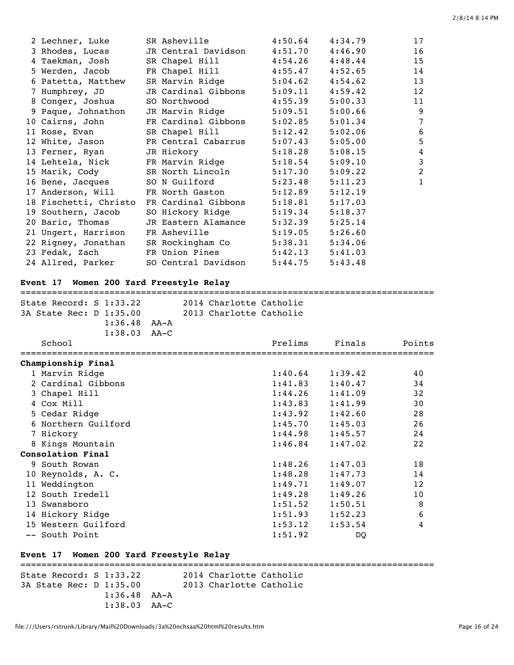| 2 Lechner, Luke    | SR Asheville                               |                     | $4:50.64$ $4:34.79$ | 17             |
|--------------------|--------------------------------------------|---------------------|---------------------|----------------|
| 3 Rhodes, Lucas    | JR Central Davidson                        |                     | $4:51.70$ $4:46.90$ | 16             |
| 4 Taekman, Josh    | SR Chapel Hill                             |                     | $4:54.26$ $4:48.44$ | 15             |
| 5 Werden, Jacob    | FR Chapel Hill                             |                     | $4:55.47$ $4:52.65$ | 14             |
| 6 Patetta, Matthew | SR Marvin Ridge                            |                     | $5:04.62$ $4:54.62$ | 13             |
| 7 Humphrey, JD     | JR Cardinal Gibbons                        | 5:09.11             | 4:59.42             | 12             |
| 8 Conger, Joshua   | SO Northwood and the solution              |                     | $4:55.39$ $5:00.33$ | 11             |
| 9 Paque, Johnathon | JR Marvin Ridge                            | 5:09.51             | 5:00.66             | 9              |
| 10 Cairns, John    | FR Cardinal Gibbons                        |                     | $5:02.85$ $5:01.34$ | $\overline{7}$ |
|                    | 11 Rose, Evan SR Chapel Hill               |                     | $5:12.42$ $5:02.06$ | 6              |
|                    | 12 White, Jason FR Central Cabarrus        | 5:07.43             | 5:05.00             | 5              |
| 13 Ferner, Ryan    | JR Hickory <b>Sandware Started Book</b>    |                     | $5:18.28$ $5:08.15$ | $\overline{4}$ |
|                    | 14 Lehtela, Nick FR Marvin Ridge           |                     | $5:18.54$ $5:09.10$ | $\mathbf{3}$   |
|                    | 15 Marik, Cody SR North Lincoln            |                     | $5:17.30$ $5:09.22$ | $\overline{2}$ |
|                    | 16 Bene, Jacques 50 N Guilford             |                     | $5:23.48$ $5:11.23$ | $\mathbf{1}$   |
|                    | 17 Anderson, Will FR North Gaston          | 5:12.89             | 5:12.19             |                |
|                    | 18 Fischetti, Christo FR Cardinal Gibbons  | $5:18.81$ $5:17.03$ |                     |                |
| 19 Southern, Jacob | SO Hickory Ridge                           | $5:19.34$ $5:18.37$ |                     |                |
| 20 Baric, Thomas   | JR Eastern Alamance                        | 5:32.39             | 5:25.14             |                |
|                    | 21 Ungert, Harrison FR Asheville           | $5:19.05$ $5:26.60$ |                     |                |
|                    | 22 Rigney, Jonathan SR Rockingham Co       | 5:38.31 5:34.06     |                     |                |
|                    | 23 Fedak, Zach              FR Union Pines | $5:42.13$ $5:41.03$ |                     |                |
| 24 Allred, Parker  | SO Central Davidson                        | 5:44.75             | 5:43.48             |                |

# **Event 17 Women 200 Yard Freestyle Relay**

#### ===============================================================================

| State Record: S 1:33.22<br>3A State Rec: D 1:35.00 | $1:36.48$ $AA-A$<br>$1:38.03$ AA-C | 2014 Charlotte Catholic<br>2013 Charlotte Catholic |         |         |        |
|----------------------------------------------------|------------------------------------|----------------------------------------------------|---------|---------|--------|
| School                                             |                                    |                                                    | Prelims | Finals  | Points |
| Championship Final                                 |                                    |                                                    |         |         |        |
| 1 Marvin Ridge                                     |                                    |                                                    | 1:40.64 | 1:39.42 | 40     |
| 2 Cardinal Gibbons                                 |                                    |                                                    | 1:41.83 | 1:40.47 | 34     |
| 3 Chapel Hill                                      |                                    |                                                    | 1:44.26 | 1:41.09 | 32     |
| 4 Cox Mill                                         |                                    |                                                    | 1:43.83 | 1:41.99 | 30     |
| 5 Cedar Ridge                                      |                                    |                                                    | 1:43.92 | 1:42.60 | 28     |
| 6 Northern Guilford                                |                                    |                                                    | 1:45.70 | 1:45.03 | 26     |
| 7 Hickory                                          |                                    |                                                    | 1:44.98 | 1:45.57 | 24     |
| 8 Kings Mountain                                   |                                    |                                                    | 1:46.84 | 1:47.02 | 22     |
| Consolation Final                                  |                                    |                                                    |         |         |        |
| 9 South Rowan                                      |                                    |                                                    | 1:48.26 | 1:47.03 | 18     |
| 10 Reynolds, A. C.                                 |                                    |                                                    | 1:48.28 | 1:47.73 | 14     |
| 11 Weddington                                      |                                    |                                                    | 1:49.71 | 1:49.07 | 12     |
| 12 South Iredell                                   |                                    |                                                    | 1:49.28 | 1:49.26 | 10     |
| 13 Swansboro                                       |                                    |                                                    | 1:51.52 | 1:50.51 | 8      |
| 14 Hickory Ridge                                   |                                    |                                                    | 1:51.93 | 1:52.23 | 6      |
| 15 Western Guilford                                |                                    |                                                    | 1:53.12 | 1:53.54 | 4      |
| -- South Point                                     |                                    |                                                    | 1:51.92 | DO      |        |

# **Event 17 Women 200 Yard Freestyle Relay**

| State Record: S 1:33.22 |                    |  | 2014 Charlotte Catholic |  |  |
|-------------------------|--------------------|--|-------------------------|--|--|
| 3A State Rec: D 1:35.00 |                    |  | 2013 Charlotte Catholic |  |  |
|                         | $1:36.48$ $AA - A$ |  |                         |  |  |
|                         | $1:38.03$ $AA-C$   |  |                         |  |  |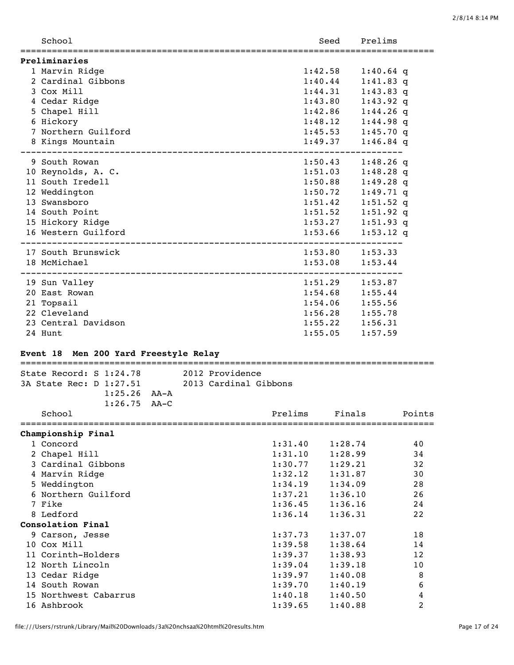|   | School<br>:============= | Seed                | Prelims     |
|---|--------------------------|---------------------|-------------|
|   | Preliminaries            |                     |             |
|   | 1 Marvin Ridge           | 1:42.58             | $1:40.64$ q |
|   | 2 Cardinal Gibbons       | 1:40.44             | $1:41.83$ q |
|   | 3 Cox Mill               | 1:44.31             | $1:43.83$ q |
|   | 4 Cedar Ridge            | 1:43.80             | $1:43.92$ q |
|   | 5 Chapel Hill            | 1:42.86             | $1:44.26$ q |
| 6 | Hickory                  | 1:48.12             | $1:44.98$ q |
|   | 7 Northern Guilford      | 1:45.53             | $1:45.70$ q |
|   | 8 Kings Mountain         | 1:49.37             | $1:46.84$ q |
|   | 9 South Rowan            | 1:50.43             | $1:48.26$ q |
|   | 10 Reynolds, A. C.       | 1:51.03             | $1:48.28$ q |
|   | 11 South Iredell         | 1:50.88             | $1:49.28$ q |
|   | 12 Weddington            | 1:50.72             | $1:49.71$ q |
|   | 13 Swansboro             | 1:51.42             | $1:51.52$ q |
|   | 14 South Point           | 1:51.52             | $1:51.92$ q |
|   | 15 Hickory Ridge         | 1:53.27             | $1:51.93$ q |
|   | 16 Western Guilford      | 1:53.66             | $1:53.12$ q |
|   | 17 South Brunswick       | $1:53.80$ $1:53.33$ |             |
|   | 18 McMichael             | 1:53.08             | 1:53.44     |
|   | 19 Sun Valley            | 1:51.29             | 1:53.87     |
|   | 20 East Rowan            | 1:54.68             | 1:55.44     |
|   | 21 Topsail               | 1:54.06             | 1:55.56     |
|   | 22 Cleveland             | 1:56.28             | 1:55.78     |
|   | 23 Central Davidson      | 1:55.22             | 1:56.31     |
|   | 24 Hunt                  | 1:55.05             | 1:57.59     |

# **Event 18 Men 200 Yard Freestyle Relay**

| State Record: S 1:24.78 | 2012 Providence       |        |
|-------------------------|-----------------------|--------|
| 3A State Rec: D 1:27.51 | 2013 Cardinal Gibbons |        |
| $1:25.26$ $AA - A$      |                       |        |
| $1:26.75$ AA-C          |                       |        |
| School                  | Prelims<br>Finals     | Points |
| Championship Final      |                       |        |
| 1 Concord               | 1:31.40<br>1:28.74    | 40     |
| 2 Chapel Hill           | 1:31.10<br>1:28.99    | 34     |
| 3 Cardinal Gibbons      | 1:30.77<br>1:29.21    | 32     |
| 4 Marvin Ridge          | 1:32.12<br>1:31.87    | 30     |
| 5 Weddington            | 1:34.19<br>1:34.09    | 28     |
| 6 Northern Guilford     | 1:37.21<br>1:36.10    | 26     |
| 7 Fike                  | 1:36.45<br>1:36.16    | 24     |
| 8 Ledford               | 1:36.14<br>1:36.31    | 22     |
| Consolation Final       |                       |        |
| 9 Carson, Jesse         | 1:37.73<br>1:37.07    | 18     |
| 10 Cox Mill             | 1:39.58<br>1:38.64    | 14     |
| 11 Corinth-Holders      | 1:39.37<br>1:38.93    | 12     |
| 12 North Lincoln        | 1:39.04<br>1:39.18    | 10     |
| 13 Cedar Ridge          | 1:39.97<br>1:40.08    | 8      |
| 14 South Rowan          | 1:39.70<br>1:40.19    | 6      |
| 15 Northwest Cabarrus   | 1:40.18<br>1:40.50    | 4      |
| 16 Ashbrook             | 1:39.65<br>1:40.88    | 2      |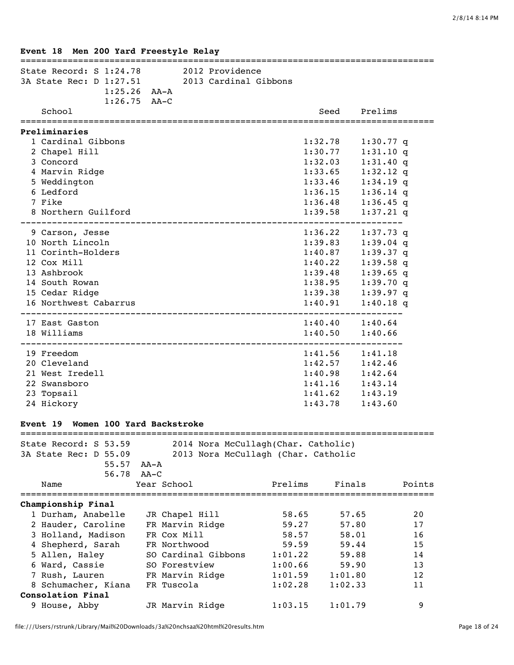| State Record: S 1:24.78 2012 Providence<br>3A State Rec: D 1:27.51 2013 Cardinal Gibbons | $1:25.26$ AA-A |                     |                                     |                     |             |        |
|------------------------------------------------------------------------------------------|----------------|---------------------|-------------------------------------|---------------------|-------------|--------|
| School                                                                                   | $1:26.75$ AA-C |                     |                                     | Seed                | Prelims     |        |
| Preliminaries                                                                            |                |                     |                                     |                     |             |        |
| 1 Cardinal Gibbons                                                                       |                |                     |                                     | 1:32.78             | $1:30.77$ q |        |
| 2 Chapel Hill                                                                            |                |                     |                                     | 1:30.77             | 1:31.10 q   |        |
| 3 Concord                                                                                |                |                     |                                     | 1:32.03             | $1:31.40$ q |        |
| 4 Marvin Ridge                                                                           |                |                     |                                     | 1:33.65             | $1:32.12$ q |        |
| 5 Weddington                                                                             |                |                     |                                     | 1:33.46             | $1:34.19$ q |        |
| 6 Ledford                                                                                |                |                     |                                     | 1:36.15             | $1:36.14$ q |        |
| 7 Fike                                                                                   |                |                     |                                     | 1:36.48             | $1:36.45$ q |        |
| 8 Northern Guilford                                                                      |                |                     |                                     | 1:39.58             | $1:37.21$ q |        |
| 9 Carson, Jesse                                                                          |                |                     |                                     | 1:36.22             | $1:37.73$ q |        |
| 10 North Lincoln                                                                         |                |                     |                                     | 1:39.83             | $1:39.04$ q |        |
| 11 Corinth-Holders                                                                       |                |                     |                                     | 1:40.87             | $1:39.37$ q |        |
| 12 Cox Mill                                                                              |                |                     |                                     | 1:40.22             | $1:39.58$ q |        |
| 13 Ashbrook                                                                              |                |                     |                                     | 1:39.48             | $1:39.65$ q |        |
| 14 South Rowan                                                                           |                |                     |                                     | 1:38.95             | $1:39.70$ q |        |
| 15 Cedar Ridge                                                                           |                |                     |                                     | 1:39.38             | 1:39.97q    |        |
| 16 Northwest Cabarrus                                                                    |                |                     |                                     | 1:40.91             | $1:40.18$ q |        |
| 17 East Gaston                                                                           |                |                     |                                     | $1:40.40$ $1:40.64$ |             |        |
| 18 Williams                                                                              |                |                     |                                     | 1:40.50             | 1:40.66     |        |
| 19 Freedom                                                                               |                |                     |                                     | $1:41.56$ $1:41.18$ |             |        |
| 20 Cleveland                                                                             |                |                     |                                     | 1:42.57             | 1:42.46     |        |
| 21 West Iredell                                                                          |                |                     |                                     | 1:40.98             | 1:42.64     |        |
| 22 Swansboro                                                                             |                |                     |                                     | 1:41.16             | 1:43.14     |        |
| 23 Topsail                                                                               |                |                     |                                     | 1:41.62             | 1:43.19     |        |
| 24 Hickory                                                                               |                |                     |                                     | 1:43.78             | 1:43.60     |        |
| Event 19 Women 100 Yard Backstroke                                                       |                |                     |                                     |                     |             |        |
| State Record: S 53.59                                                                    |                |                     | 2014 Nora McCullagh(Char. Catholic) |                     |             |        |
| 3A State Rec: D 55.09                                                                    |                |                     | 2013 Nora McCullagh (Char. Catholic |                     |             |        |
| 55.57                                                                                    | AA-A           |                     |                                     |                     |             |        |
| 56.78                                                                                    | $AA-C$         |                     |                                     |                     |             |        |
| Name                                                                                     | Year School    |                     | Prelims                             | Finals              |             | Points |
| Championship Final                                                                       |                |                     |                                     |                     |             |        |
| 1 Durham, Anabelle                                                                       |                | JR Chapel Hill      | 58.65                               | 57.65               |             | 20     |
| 2 Hauder, Caroline                                                                       |                | FR Marvin Ridge     | 59.27                               | 57.80               |             | 17     |
| 3 Holland, Madison                                                                       | FR Cox Mill    |                     | 58.57                               | 58.01               |             | 16     |
| 4 Shepherd, Sarah                                                                        | FR Northwood   |                     | 59.59                               | 59.44               |             | 15     |
| 5 Allen, Haley                                                                           |                | SO Cardinal Gibbons | 1:01.22                             | 59.88               |             | 14     |
| 6 Ward, Cassie                                                                           |                | SO Forestview       | 1:00.66                             | 59.90               |             | 13     |
| 7 Rush, Lauren                                                                           |                | FR Marvin Ridge     | 1:01.59                             | 1:01.80             |             | 12     |
| 8 Schumacher, Kiana                                                                      | FR Tuscola     |                     | 1:02.28                             | 1:02.33             |             | 11     |
| Consolation Final                                                                        |                |                     |                                     |                     |             |        |
| 9 House, Abby                                                                            |                | JR Marvin Ridge     | 1:03.15                             | 1:01.79             |             | 9      |

**Event 18 Men 200 Yard Freestyle Relay**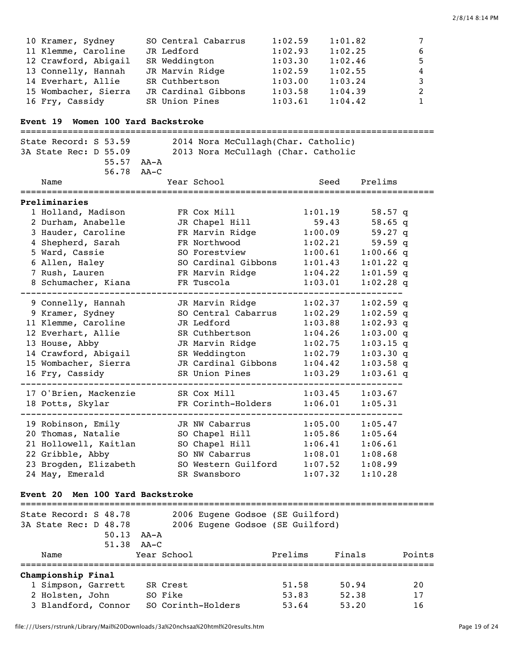| 10 Kramer, Sydney    | SO Central Cabarrus | 1:02.59 | 1:01.82 | $7\overline{ }$ |
|----------------------|---------------------|---------|---------|-----------------|
| 11 Klemme, Caroline  | JR Ledford          | 1:02.93 | 1:02.25 | 6               |
| 12 Crawford, Abigail | SR Weddington       | 1:03.30 | 1:02.46 | 5.              |
| 13 Connelly, Hannah  | JR Marvin Ridge     | 1:02.59 | 1:02.55 | 4               |
| 14 Everhart, Allie   | SR Cuthbertson      | 1:03.00 | 1:03.24 | 3               |
| 15 Wombacher, Sierra | JR Cardinal Gibbons | 1:03.58 | 1:04.39 | 2               |
| 16 Fry, Cassidy      | SR Union Pines      | 1:03.61 | 1:04.42 | $\mathbf{1}$    |

# **Event 19 Women 100 Yard Backstroke**

| State Record: S 53.59<br>2014 Nora McCullagh(Char. Catholic)              |           |                                     |         |             |  |  |  |  |
|---------------------------------------------------------------------------|-----------|-------------------------------------|---------|-------------|--|--|--|--|
| 3A State Rec: D 55.09                                                     |           | 2013 Nora McCullagh (Char. Catholic |         |             |  |  |  |  |
| 55.57 AA-A                                                                |           |                                     |         |             |  |  |  |  |
| 56.78                                                                     | $A^A - C$ |                                     |         |             |  |  |  |  |
| Name                                                                      |           | Year School                         | Seed    | Prelims     |  |  |  |  |
|                                                                           |           |                                     |         |             |  |  |  |  |
| Preliminaries                                                             |           |                                     |         |             |  |  |  |  |
| 1 Holland, Madison                                                        |           | FR Cox Mill                         | 1:01.19 | 58.57 $q$   |  |  |  |  |
| 2 Durham, Anabelle                                                        |           | JR Chapel Hill                      | 59.43   | $58.65$ q   |  |  |  |  |
| 3 Hauder, Caroline                                                        |           | FR Marvin Ridge                     | 1:00.09 | $59.27$ q   |  |  |  |  |
| 4 Shepherd, Sarah                                                         |           | FR Northwood                        | 1:02.21 | 59.59q      |  |  |  |  |
| 5 Ward, Cassie                                                            |           | SO Forestview                       | 1:00.61 | $1:00.66$ q |  |  |  |  |
| 6 Allen, Haley                                                            |           | SO Cardinal Gibbons                 | 1:01.43 | $1:01.22$ q |  |  |  |  |
| 7 Rush, Lauren                                                            |           | FR Marvin Ridge                     | 1:04.22 | $1:01.59$ q |  |  |  |  |
| 8 Schumacher, Kiana                                                       |           | FR Tuscola                          | 1:03.01 | $1:02.28$ q |  |  |  |  |
| 9 Connelly, Hannah                                                        |           | JR Marvin Ridge                     | 1:02.37 | $1:02.59$ q |  |  |  |  |
| 9 Kramer, Sydney                                                          |           | SO Central Cabarrus                 | 1:02.29 | $1:02.59$ q |  |  |  |  |
| 11 Klemme, Caroline                                                       |           | JR Ledford                          | 1:03.88 | $1:02.93$ q |  |  |  |  |
| 12 Everhart, Allie                                                        |           | SR Cuthbertson                      | 1:04.26 | 1:03.00 q   |  |  |  |  |
| 13 House, Abby                                                            |           | JR Marvin Ridge                     | 1:02.75 | $1:03.15$ q |  |  |  |  |
| 14 Crawford, Abigail                                                      |           | SR Weddington                       | 1:02.79 | 1:03.30q    |  |  |  |  |
| 15 Wombacher, Sierra                                                      |           | JR Cardinal Gibbons                 | 1:04.42 | $1:03.58$ q |  |  |  |  |
| 16 Fry, Cassidy                                                           |           | SR Union Pines                      | 1:03.29 | $1:03.61$ q |  |  |  |  |
| 17 O'Brien, Mackenzie                                                     |           | SR Cox Mill                         | 1:03.45 | 1:03.67     |  |  |  |  |
| 18 Potts, Skylar                                                          |           | FR Corinth-Holders                  | 1:06.01 | 1:05.31     |  |  |  |  |
| 19 Robinson, Emily                                                        |           | JR NW Cabarrus                      | 1:05.00 | 1:05.47     |  |  |  |  |
| 20 Thomas, Natalie                                                        |           | SO Chapel Hill                      | 1:05.86 | 1:05.64     |  |  |  |  |
| 21 Hollowell, Kaitlan                                                     |           | SO Chapel Hill                      | 1:06.41 | 1:06.61     |  |  |  |  |
| 22 Gribble, Abby                                                          |           | SO NW Cabarrus                      | 1:08.01 | 1:08.68     |  |  |  |  |
| 23 Brogden, Elizabeth                                                     |           | SO Western Guilford                 | 1:07.52 | 1:08.99     |  |  |  |  |
| 24 May, Emerald                                                           |           | SR Swansboro                        | 1:07.32 | 1:10.28     |  |  |  |  |
|                                                                           |           |                                     |         |             |  |  |  |  |
| Men 100 Yard Backstroke<br>Event 20<br>__________________________________ |           |                                     |         |             |  |  |  |  |
|                                                                           |           |                                     |         |             |  |  |  |  |

| State Record: S 48.78<br>3A State Rec: D 48.78 | 50.13<br>51.38     | AA-A<br>AA–C       | 2006 Eugene Godsoe (SE Guilford)<br>2006 Eugene Godsoe (SE Guilford) |         |        |        |  |  |  |  |  |
|------------------------------------------------|--------------------|--------------------|----------------------------------------------------------------------|---------|--------|--------|--|--|--|--|--|
| Name                                           |                    | Year School        |                                                                      | Prelims | Finals | Points |  |  |  |  |  |
|                                                | Championship Final |                    |                                                                      |         |        |        |  |  |  |  |  |
| 1 Simpson, Garrett                             |                    | SR Crest           |                                                                      | 51.58   | 50.94  | 20     |  |  |  |  |  |
| 2 Holsten, John                                |                    | SO Fike            |                                                                      | 53.83   | 52.38  | 17     |  |  |  |  |  |
| 3 Blandford, Connor                            |                    | SO Corinth-Holders |                                                                      | 53.64   | 53.20  | 16     |  |  |  |  |  |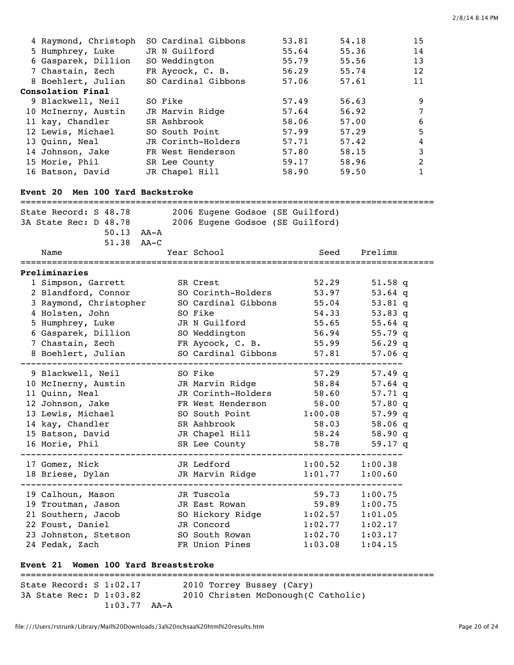| 4 Raymond, Christoph<br>5 Humphrey, Luke<br>6 Gasparek, Dillion<br>7 Chastain, Zech<br>8 Boehlert, Julian<br>Consolation Final<br>9 Blackwell, Neil<br>10 McInerny, Austin                   | SO Cardinal Gibbons<br>JR N Guilford<br>SO Weddington<br>FR Aycock, C. B.<br>SO Cardinal Gibbons<br>SO Fike<br>JR Marvin Ridge                                                               | 53.81<br>55.64<br>55.79<br>56.29<br>57.06<br>57.49<br>57.64          | 54.18<br>55.36<br>55.56<br>55.74<br>57.61<br>56.63<br>56.92                                  | 15<br>14<br>13<br>12<br>11<br>9<br>7             |
|----------------------------------------------------------------------------------------------------------------------------------------------------------------------------------------------|----------------------------------------------------------------------------------------------------------------------------------------------------------------------------------------------|----------------------------------------------------------------------|----------------------------------------------------------------------------------------------|--------------------------------------------------|
| 11 kay, Chandler<br>12 Lewis, Michael<br>13 Quinn, Neal<br>14 Johnson, Jake<br>15 Morie, Phil<br>16 Batson, David<br>Event 20 Men 100 Yard Backstroke                                        | SR Ashbrook<br>SO South Point<br>JR Corinth-Holders<br>FR West Henderson<br>SR Lee County<br>JR Chapel Hill                                                                                  | 58.06<br>57.99<br>57.71<br>57.80<br>59.17<br>58.90                   | 57.00<br>57.29<br>57.42<br>58.15<br>58.96<br>59.50                                           | 6<br>5<br>4<br>$\mathbf{3}$<br>2<br>$\mathbf{1}$ |
| ==============================<br>State Record: S 48.78<br>3A State Rec: D 48.78<br>$50.13$ $AA - A$<br>51.38<br>Name                                                                        | 2006 Eugene Godsoe (SE Guilford)<br>2006 Eugene Godsoe (SE Guilford)<br>$AA-C$<br>Year School                                                                                                | Seed                                                                 | Prelims                                                                                      |                                                  |
| Preliminaries<br>1 Simpson, Garrett<br>2 Blandford, Connor<br>3 Raymond, Christopher<br>4 Holsten, John<br>5 Humphrey, Luke<br>6 Gasparek, Dillion<br>7 Chastain, Zech<br>8 Boehlert, Julian | SR Crest<br>SO Corinth-Holders<br>SO Cardinal Gibbons<br>SO Fike<br>JR N Guilford<br>SO Weddington<br>FR Aycock, C. B.<br>SO Cardinal Gibbons                                                | 52.29<br>53.97<br>55.04<br>54.33<br>55.65<br>56.94<br>55.99<br>57.81 | $51.58$ q<br>$53.64$ q<br>$53.81$ q<br>53.83 q<br>55.64 q<br>55.79 q<br>56.29 q<br>$57.06$ q |                                                  |
| 9 Blackwell, Neil<br>10 McInerny, Austin<br>11 Quinn, Neal<br>12 Johnson, Jake<br>13 Lewis, Michael<br>14 kay, Chandler<br>15 Batson, David<br>16 Morie, Phil                                | SO Fike<br>JR Marvin Ridge<br>JR Corinth-Holders<br>FR West Henderson<br>SO South Point<br>SR Ashbrook<br>JR Chapel Hill 58.24<br>SR Lee County<br>17 Gomez, Nick TR Ledford 1:00.52 1:00.38 | 57.29<br>58.84<br>58.60<br>58.00<br>1:00.08<br>58.03<br>58.78        | 57.49 q<br>$57.64$ q<br>$57.71$ q<br>57.80q<br>57.99 q<br>58.06q<br>58.90q<br>59.17 q        |                                                  |
| 19 Calhoun, Mason               JR Tuscola<br>19 Troutman, Jason<br>21 Southern, Jacob<br>22 Foust, Daniel<br>24 Fedak, Zach<br>Event 21 Women 100 Yard Breaststroke                         | 18 Briese, Dylan     JR Marvin Ridge     1:01.77<br>JR East Rowan<br>SO Hickory Ridge 1:02.57<br>JR Concord<br>23 Johnston, Stetson SO South Rowan 1:02.70<br>FR Union Pines 1:03.08         | 59.73<br>59.89<br>1:02.77                                            | 1:00.60<br>1:00.75<br>1:00.75<br>1:01.05<br>1:02.17<br>1:03.17<br>1:04.15                    |                                                  |

=============================================================================== State Record: S 1:02.17 2010 Torrey Bussey (Cary) 3A State Rec: D 1:03.82 2010 Christen McDonough(C Catholic) 1:03.77 AA-A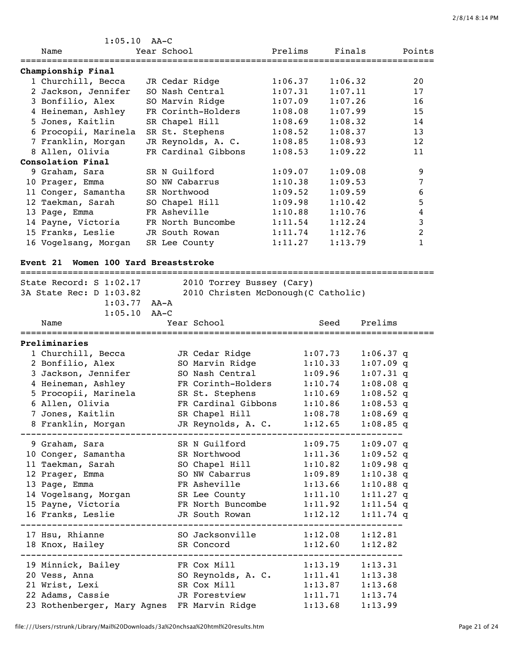| $1:05.10$ AA-C                                                     |                |                                      |         |                    |                            |                |
|--------------------------------------------------------------------|----------------|--------------------------------------|---------|--------------------|----------------------------|----------------|
| Name                                                               | Year School    |                                      | Prelims | Finals             |                            | Points         |
|                                                                    |                |                                      |         |                    |                            |                |
| Championship Final<br>1 Churchill, Becca                           |                |                                      | 1:06.37 | 1:06.32            |                            |                |
| 2 Jackson, Jennifer                                                |                | JR Cedar Ridge<br>SO Nash Central    | 1:07.31 | 1:07.11            |                            | 20<br>17       |
| 3 Bonfilio, Alex                                                   |                | SO Marvin Ridge                      | 1:07.09 | 1:07.26            |                            | 16             |
| 4 Heineman, Ashley                                                 |                | FR Corinth-Holders                   | 1:08.08 | 1:07.99            |                            | 15             |
| 5 Jones, Kaitlin                                                   | SR Chapel Hill |                                      | 1:08.69 | 1:08.32            |                            | 14             |
| 6 Procopii, Marinela                                               |                | SR St. Stephens                      | 1:08.52 | 1:08.37            |                            | 13             |
| 7 Franklin, Morgan                                                 |                | JR Reynolds, A. C.                   | 1:08.85 | 1:08.93            |                            | 12             |
| 8 Allen, Olivia                                                    |                | FR Cardinal Gibbons                  | 1:08.53 | 1:09.22            |                            | 11             |
| Consolation Final                                                  |                |                                      |         |                    |                            |                |
| 9 Graham, Sara                                                     | SR N Guilford  |                                      | 1:09.07 | 1:09.08            |                            | 9              |
| 10 Prager, Emma                                                    | SO NW Cabarrus |                                      | 1:10.38 | 1:09.53            |                            | 7              |
| 11 Conger, Samantha                                                | SR Northwood   |                                      | 1:09.52 | 1:09.59            |                            | 6              |
| 12 Taekman, Sarah                                                  |                | SO Chapel Hill                       | 1:09.98 | 1:10.42            |                            | 5              |
| 13 Page, Emma                                                      | FR Asheville   |                                      | 1:10.88 | 1:10.76            |                            | 4              |
| 14 Payne, Victoria                                                 |                | FR North Buncombe                    | 1:11.54 | 1:12.24            |                            | 3              |
| 15 Franks, Leslie                                                  |                | JR South Rowan                       | 1:11.74 | 1:12.76            |                            | $\overline{2}$ |
| 16 Vogelsang, Morgan                                               | SR Lee County  |                                      | 1:11.27 | 1:13.79            |                            | $\mathbf{1}$   |
|                                                                    |                |                                      |         |                    |                            |                |
| Women 100 Yard Breaststroke<br><b>Event 21</b>                     |                |                                      |         |                    |                            |                |
| State Record: S 1:02.17                                            |                | 2010 Torrey Bussey (Cary)            |         |                    |                            |                |
| 3A State Rec: D 1:03.82                                            |                | 2010 Christen McDonough (C Catholic) |         |                    |                            |                |
| $1:03.77$ AA-A                                                     |                |                                      |         |                    |                            |                |
| 1:05.10                                                            | $AA-C$         |                                      |         |                    |                            |                |
| Name                                                               |                | Year School                          |         | Seed               | Prelims                    |                |
|                                                                    |                |                                      |         |                    |                            |                |
| Preliminaries                                                      |                |                                      |         |                    |                            |                |
| 1 Churchill, Becca                                                 |                | JR Cedar Ridge                       |         | 1:07.73            | $1:06.37$ q                |                |
| 2 Bonfilio, Alex                                                   |                | SO Marvin Ridge<br>SO Nash Central   |         | 1:10.33            | $1:07.09$ q                |                |
| 3 Jackson, Jennifer                                                |                | FR Corinth-Holders                   |         | 1:09.96<br>1:10.74 | $1:07.31$ q                |                |
| 4 Heineman, Ashley<br>5 Procopii, Marinela                         |                | SR St. Stephens                      |         | 1:10.69            | $1:08.08$ q<br>$1:08.52$ q |                |
| 6 Allen, Olivia                                                    |                | FR Cardinal Gibbons                  |         | 1:10.86            | $1:08.53$ q                |                |
| 7 Jones, Kaitlin                                                   |                | SR Chapel Hill 1:08.78               |         |                    | $1:08.69$ q                |                |
| 8 Franklin, Morgan                                                 |                | JR Reynolds, A. C. 1:12.65           |         |                    | $1:08.85$ q                |                |
|                                                                    |                |                                      |         |                    |                            |                |
| 9 Graham, Sara                                                     |                | SR N Guilford 1:09.75 1:09.07 q      |         |                    |                            |                |
| 10 Conger, Samantha SR Northwood 1:11.36 1:09.52 q                 |                |                                      |         |                    |                            |                |
| 11 Taekman, Sarah                 SO Chapel Hill           1:10.82 |                |                                      |         |                    | $1:09.98$ q                |                |
| 12 Prager, Emma                                                    |                | SO NW Cabarrus 1:09.89               |         |                    | $1:10.38$ q                |                |
| 13 Page, Emma                                                      |                | FR Asheville 1:13.66 1:10.88 q       |         |                    |                            |                |
| 14 Vogelsang, Morgan SR Lee County 1:11.10                         |                |                                      |         |                    | $1:11.27$ q                |                |
| 15 Payne, Victoria 6. FR North Buncombe 1:11.92 1:11.54 q          |                |                                      |         |                    |                            |                |
| 16 Franks, Leslie                                                  |                | JR South Rowan 1:12.12 1:11.74 q     |         |                    |                            |                |
|                                                                    |                |                                      |         |                    |                            |                |
| 17 Hsu, Rhianne                                                    |                |                                      |         |                    |                            |                |
| 18 Knox, Hailey SR Concord 1:12.60 1:12.82                         |                |                                      |         |                    |                            |                |
| 19 Minnick, Bailey FR Cox Mill                                     |                |                                      |         |                    | $1:13.19$ $1:13.31$        |                |
| 20 Vess, Anna (30 Reynolds, A. C. 1:11.41 1:13.38)                 |                |                                      |         |                    |                            |                |
| 21 Wrist, Lexi                                                     |                | SR Cox Mill 1:13.87 1:13.68          |         |                    |                            |                |
| 22 Adams, Cassie                                                   |                | JR Forestview 1:11.71 1:13.74        |         |                    |                            |                |
| 23 Rothenberger, Mary Agnes FR Marvin Ridge 1:13.68                |                |                                      |         |                    | 1:13.99                    |                |
|                                                                    |                |                                      |         |                    |                            |                |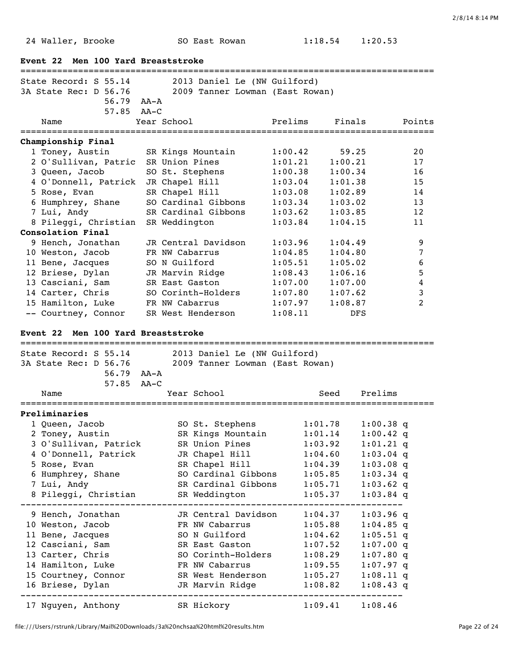24 Waller, Brooke SO East Rowan 1:18.54 1:20.53

|                 | Event 22 Men 100 Yard Breaststroke                                   |                  |        |                           |                     |                                 |                            |         |                |
|-----------------|----------------------------------------------------------------------|------------------|--------|---------------------------|---------------------|---------------------------------|----------------------------|---------|----------------|
|                 | =================================<br>State Record: S 55.14           |                  |        |                           |                     | 2013 Daniel Le (NW Guilford)    |                            |         |                |
|                 | 3A State Rec: D 56.76                                                |                  |        |                           |                     | 2009 Tanner Lowman (East Rowan) |                            |         |                |
|                 |                                                                      | $56.79$ $AA - A$ |        |                           |                     |                                 |                            |         |                |
|                 |                                                                      | 57.85            | AA-C   |                           |                     |                                 |                            |         |                |
|                 | Name                                                                 |                  |        | Year School               |                     | Prelims                         |                            | Finals  | Points         |
|                 | Championship Final                                                   |                  |        |                           |                     |                                 |                            |         |                |
|                 | 1 Toney, Austin                                                      |                  |        |                           | SR Kings Mountain   | 1:00.42                         |                            | 59.25   | 20             |
|                 | 2 O'Sullivan, Patric                                                 |                  |        | SR Union Pines            |                     | 1:01.21                         |                            | 1:00.21 | 17             |
|                 | 3 Queen, Jacob                                                       |                  |        |                           | SO St. Stephens     | 1:00.38                         |                            | 1:00.34 | 16             |
|                 | 4 O'Donnell, Patrick                                                 |                  |        | JR Chapel Hill            |                     | 1:03.04                         |                            | 1:01.38 | 15             |
|                 | 5 Rose, Evan                                                         |                  |        | SR Chapel Hill            |                     | 1:03.08                         |                            | 1:02.89 | 14             |
|                 | 6 Humphrey, Shane                                                    |                  |        |                           | SO Cardinal Gibbons | 1:03.34                         |                            | 1:03.02 | 13             |
|                 | 7 Lui, Andy                                                          |                  |        |                           | SR Cardinal Gibbons | 1:03.62                         |                            | 1:03.85 | 12             |
|                 | 8 Pileggi, Christian                                                 |                  |        | SR Weddington             |                     | 1:03.84                         |                            | 1:04.15 | 11             |
|                 | Consolation Final                                                    |                  |        |                           |                     |                                 |                            |         |                |
|                 | 9 Hench, Jonathan                                                    |                  |        |                           | JR Central Davidson | 1:03.96                         |                            | 1:04.49 | 9              |
|                 | 10 Weston, Jacob                                                     |                  |        | FR NW Cabarrus            |                     | 1:04.85                         |                            | 1:04.80 | 7              |
|                 | 11 Bene, Jacques                                                     |                  |        | SO N Guilford             |                     | 1:05.51                         |                            | 1:05.02 | 6              |
|                 | 12 Briese, Dylan                                                     |                  |        |                           | JR Marvin Ridge     | 1:08.43                         |                            | 1:06.16 | 5              |
|                 | 13 Casciani, Sam                                                     |                  |        | SR East Gaston            |                     | 1:07.00                         |                            | 1:07.00 | 4              |
|                 | 14 Carter, Chris                                                     |                  |        |                           | SO Corinth-Holders  | 1:07.80                         |                            | 1:07.62 | 3              |
|                 | 15 Hamilton, Luke                                                    |                  |        | FR NW Cabarrus            |                     | 1:07.97                         |                            | 1:08.87 | $\overline{2}$ |
|                 | -- Courtney, Connor                                                  |                  |        |                           | SR West Henderson   | 1:08.11                         |                            | DFS     |                |
|                 |                                                                      |                  |        |                           |                     |                                 |                            |         |                |
| <b>Event 22</b> |                                                                      |                  |        | Men 100 Yard Breaststroke |                     |                                 |                            |         |                |
|                 | State Record: S 55.14                                                |                  |        |                           |                     | 2013 Daniel Le (NW Guilford)    |                            |         |                |
|                 | 3A State Rec: D 56.76                                                |                  |        |                           |                     | 2009 Tanner Lowman (East Rowan) |                            |         |                |
|                 |                                                                      | 56.79 AA-A       |        |                           |                     |                                 |                            |         |                |
|                 |                                                                      | 57.85            | $AA-C$ |                           |                     |                                 |                            |         |                |
|                 | Name                                                                 |                  |        |                           | Year School         |                                 | Seed                       | Prelims |                |
|                 |                                                                      |                  |        |                           |                     |                                 |                            |         |                |
|                 | Preliminaries                                                        |                  |        |                           |                     |                                 |                            |         |                |
|                 | 1 Queen, Jacob                                                       |                  |        |                           | SO St. Stephens     |                                 | 1:01.78                    |         | $1:00.38$ q    |
|                 | 2 Toney, Austin                                                      |                  |        |                           | SR Kings Mountain   |                                 | 1:01.14                    |         | $1:00.42$ q    |
|                 | 3 O'Sullivan, Patrick                                                |                  |        |                           | SR Union Pines      |                                 | 1:03.92                    |         | $1:01.21$ q    |
|                 | 4 O'Donnell, Patrick                                                 |                  |        |                           |                     | JR Chapel Hill 1:04.60          |                            |         | $1:03.04$ q    |
|                 | 5 Rose, Evan                                                         |                  |        |                           | SR Chapel Hill      |                                 | 1:04.39                    |         | $1:03.08$ q    |
|                 | 6 Humphrey, Shane                                                    |                  |        |                           |                     | SO Cardinal Gibbons 1:05.85     |                            |         | $1:03.34$ q    |
|                 | 7 Lui, Andy                                                          |                  |        |                           |                     | SR Cardinal Gibbons 1:05.71     |                            |         | $1:03.62$ q    |
|                 | 8 Pileggi, Christian                                                 |                  |        |                           |                     | SR Weddington 1:05.37           |                            |         | $1:03.84$ q    |
|                 |                                                                      |                  |        |                           |                     |                                 | -------------------------- |         |                |
|                 | 9 Hench, Jonathan                                                    |                  |        |                           |                     | JR Central Davidson 1:04.37     |                            |         | $1:03.96$ q    |
|                 | 10 Weston, Jacob                                                     |                  |        |                           |                     | FR NW Cabarrus 1:05.88          |                            |         | $1:04.85$ q    |
|                 | 11 Bene, Jacques                                                     |                  |        |                           |                     | SO N Guilford 1:04.62           |                            |         | $1:05.51$ q    |
|                 | 12 Casciani, Sam                                                     |                  |        |                           | SR East Gaston      |                                 | 1:07.52                    |         | $1:07.00$ q    |
|                 | 13 Carter, Chris                                                     |                  |        |                           |                     | SO Corinth-Holders 1:08.29      |                            |         | $1:07.80$ q    |
|                 | 14 Hamilton, Luke                                                    |                  |        |                           | FR NW Cabarrus      |                                 | 1:09.55                    |         | $1:07.97$ q    |
|                 | 15 Courtney, Connor                                                  |                  |        |                           |                     | SR West Henderson 1:05.27       |                            |         | $1:08.11$ q    |
|                 | 16 Briese, Dylan                                                     |                  |        |                           | JR Marvin Ridge     |                                 | 1:08.82                    |         | $1:08.43$ q    |
|                 | . _ _ _ _ _ _ _ _ _ _ _ _ _ _ _ _ _<br>17 Nguyen, Anthony SR Hickory |                  |        |                           |                     | 1:09.41                         |                            | 1:08.46 |                |

file:///Users/rstrunk/Library/Mail%20Downloads/3a%20nchsaa%20html%20results.htm Page 22 of 24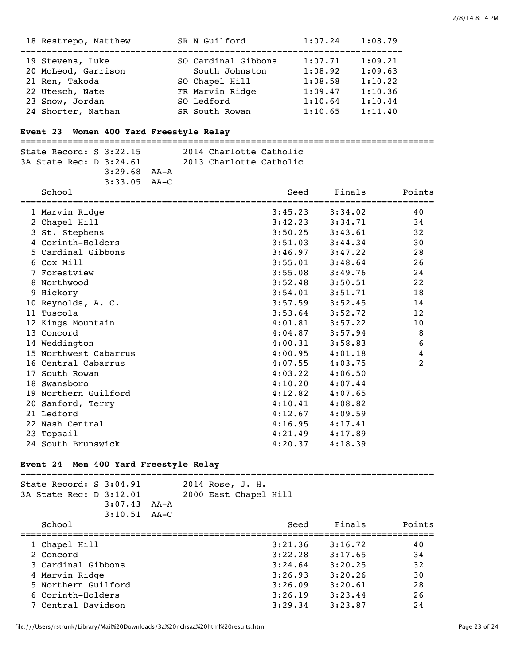| 18 Restrepo, Matthew | SR N Guilford       | 1:07.24 | 1:08.79 |
|----------------------|---------------------|---------|---------|
| 19 Stevens, Luke     | SO Cardinal Gibbons | 1:07.71 | 1:09.21 |
| 20 McLeod, Garrison  | South Johnston      | 1:08.92 | 1:09.63 |
| 21 Ren, Takoda       | SO Chapel Hill      | 1:08.58 | 1:10.22 |
| 22 Utesch, Nate      | FR Marvin Ridge     | 1:09.47 | 1:10.36 |
| 23 Snow, Jordan      | SO Ledford          | 1:10.64 | 1:10.44 |
| 24 Shorter, Nathan   | SR South Rowan      | 1:10.65 | 1:11.40 |

# **Event 23 Women 400 Yard Freestyle Relay**

===============================================================================

| State Record: S 3:22.15 |                                    |  | 2014 Charlotte Catholic |  |
|-------------------------|------------------------------------|--|-------------------------|--|
| 3A State Rec: D 3:24.61 |                                    |  | 2013 Charlotte Catholic |  |
|                         | $3:29.68$ $\lambda\lambda-\lambda$ |  |                         |  |
|                         | $3:33.05$ $AA-C$                   |  |                         |  |

|   | School                | Seed    | Finals  | Points |
|---|-----------------------|---------|---------|--------|
|   | 1 Marvin Ridge        | 3:45.23 | 3:34.02 | 40     |
|   | 2 Chapel Hill         | 3:42.23 | 3:34.71 | 34     |
|   | 3 St. Stephens        | 3:50.25 | 3:43.61 | 32     |
|   | 4 Corinth-Holders     | 3:51.03 | 3:44.34 | 30     |
|   | 5 Cardinal Gibbons    | 3:46.97 | 3:47.22 | 28     |
|   | 6 Cox Mill            | 3:55.01 | 3:48.64 | 26     |
|   | 7 Forestview          | 3:55.08 | 3:49.76 | 24     |
|   | 8 Northwood           | 3:52.48 | 3:50.51 | 22     |
| 9 | Hickory               | 3:54.01 | 3:51.71 | 18     |
|   | 10 Reynolds, A. C.    | 3:57.59 | 3:52.45 | 14     |
|   | 11 Tuscola            | 3:53.64 | 3:52.72 | 12     |
|   | 12 Kings Mountain     | 4:01.81 | 3:57.22 | 10     |
|   | 13 Concord            | 4:04.87 | 3:57.94 | 8      |
|   | 14 Weddington         | 4:00.31 | 3:58.83 | 6      |
|   | 15 Northwest Cabarrus | 4:00.95 | 4:01.18 | 4      |
|   | 16 Central Cabarrus   | 4:07.55 | 4:03.75 | 2      |
|   | 17 South Rowan        | 4:03.22 | 4:06.50 |        |
|   | 18 Swansboro          | 4:10.20 | 4:07.44 |        |
|   | 19 Northern Guilford  | 4:12.82 | 4:07.65 |        |
|   | 20 Sanford, Terry     | 4:10.41 | 4:08.82 |        |
|   | 21 Ledford            | 4:12.67 | 4:09.59 |        |
|   | 22 Nash Central       | 4:16.95 | 4:17.41 |        |
|   | 23 Topsail            | 4:21.49 | 4:17.89 |        |
|   | 24 South Brunswick    | 4:20.37 | 4:18.39 |        |

# **Event 24 Men 400 Yard Freestyle Relay**

| State Record: $S$ 3:04.91<br>3A State Rec: D 3:12.01 | 3:07.43<br>$3:10.51$ $AA-C$ | AA-A | 2014 Rose, J. H.<br>2000 East Chapel Hill |         |         |        |
|------------------------------------------------------|-----------------------------|------|-------------------------------------------|---------|---------|--------|
| School                                               |                             |      |                                           | Seed    | Finals  | Points |
| 1 Chapel Hill                                        |                             |      |                                           | 3:21.36 | 3:16.72 | 40     |
| 2 Concord                                            |                             |      |                                           | 3:22.28 | 3:17.65 | 34     |
| 3 Cardinal Gibbons                                   |                             |      |                                           | 3:24.64 | 3:20.25 | 32     |
| 4 Marvin Ridge                                       |                             |      |                                           | 3:26.93 | 3:20.26 | 30     |
| 5 Northern Guilford                                  |                             |      |                                           | 3:26.09 | 3:20.61 | 28     |
| 6 Corinth-Holders                                    |                             |      |                                           | 3:26.19 | 3:23.44 | 26     |
| 7 Central Davidson                                   |                             |      |                                           | 3:29.34 | 3:23.87 | 24     |